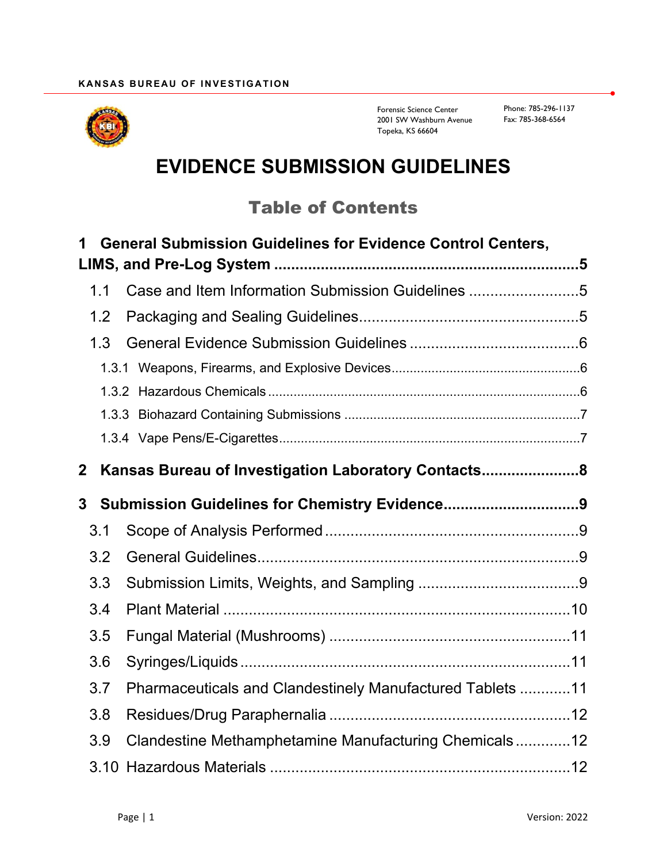

Forensic Science Center 2001 SW Washburn Avenue Topeka, KS 66604

# **EVIDENCE SUBMISSION GUIDELINES**

## Table of Contents

| 1           | <b>General Submission Guidelines for Evidence Control Centers,</b> |  |
|-------------|--------------------------------------------------------------------|--|
|             |                                                                    |  |
| 1.1         | Case and Item Information Submission Guidelines 5                  |  |
| 1.2         |                                                                    |  |
| 1.3         |                                                                    |  |
|             |                                                                    |  |
|             |                                                                    |  |
|             |                                                                    |  |
|             |                                                                    |  |
| $\mathbf 2$ | Kansas Bureau of Investigation Laboratory Contacts8                |  |
| 3           |                                                                    |  |
| 3.1         |                                                                    |  |
| 3.2         |                                                                    |  |
| 3.3         |                                                                    |  |
| 3.4         |                                                                    |  |
| 3.5         |                                                                    |  |
| 3.6         |                                                                    |  |
| 3.7         | Pharmaceuticals and Clandestinely Manufactured Tablets 11          |  |
| 3.8         |                                                                    |  |
| 3.9         | Clandestine Methamphetamine Manufacturing Chemicals12              |  |
|             |                                                                    |  |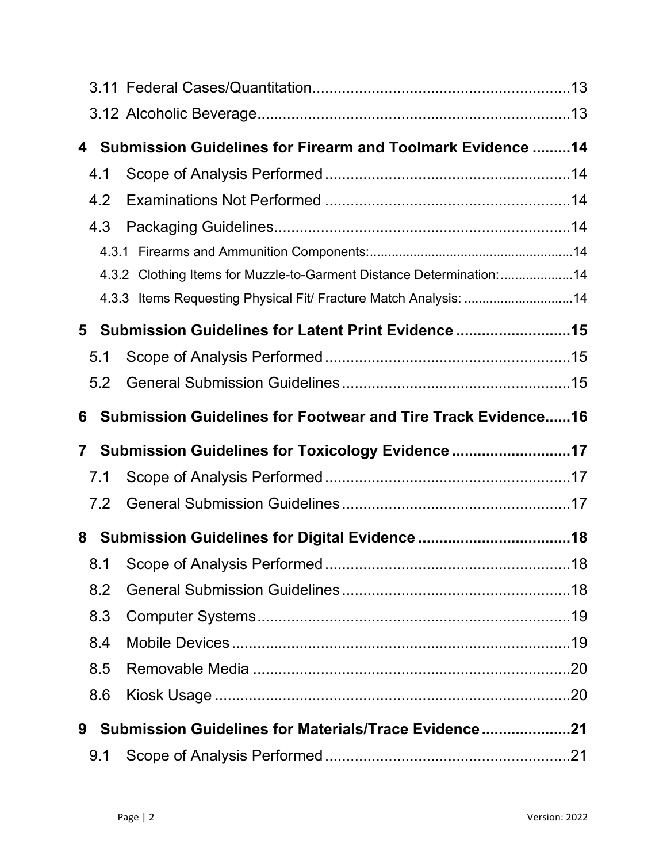| 4            |     | Submission Guidelines for Firearm and Toolmark Evidence  14           |  |
|--------------|-----|-----------------------------------------------------------------------|--|
|              | 4.1 |                                                                       |  |
|              | 4.2 |                                                                       |  |
|              | 4.3 |                                                                       |  |
|              |     |                                                                       |  |
|              |     | 4.3.2 Clothing Items for Muzzle-to-Garment Distance Determination: 14 |  |
|              |     | 4.3.3 Items Requesting Physical Fit/ Fracture Match Analysis: 14      |  |
| 5            |     | Submission Guidelines for Latent Print Evidence 15                    |  |
|              | 5.1 |                                                                       |  |
|              | 5.2 |                                                                       |  |
| 6            |     | <b>Submission Guidelines for Footwear and Tire Track Evidence16</b>   |  |
|              |     |                                                                       |  |
| $\mathbf{7}$ |     | Submission Guidelines for Toxicology Evidence 17                      |  |
|              | 7.1 |                                                                       |  |
|              | 7.2 |                                                                       |  |
| 8            |     |                                                                       |  |
|              |     |                                                                       |  |
|              | 8.2 |                                                                       |  |
|              | 8.3 |                                                                       |  |
|              | 8.4 |                                                                       |  |
|              | 8.5 |                                                                       |  |
|              | 8.6 |                                                                       |  |
| 9            |     | Submission Guidelines for Materials/Trace Evidence21                  |  |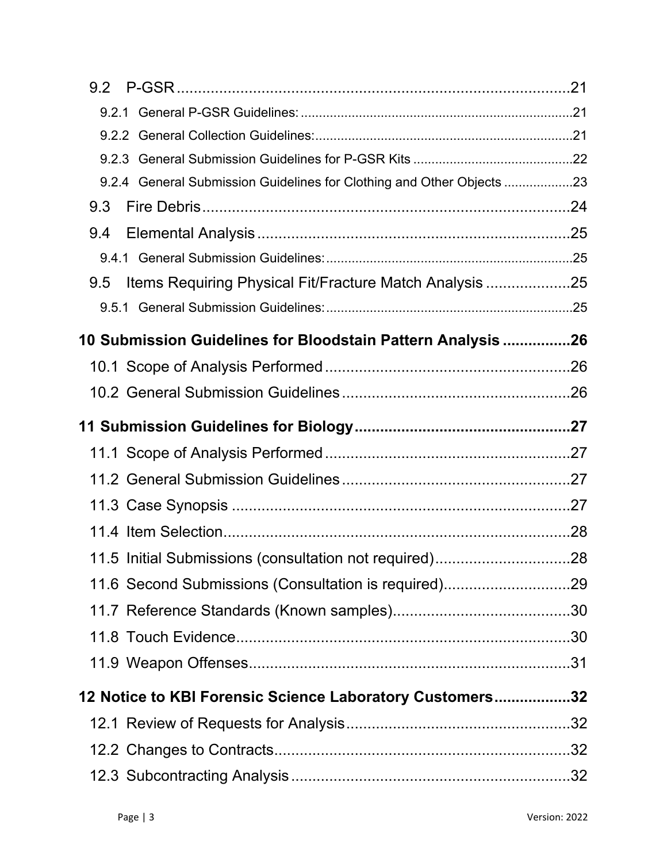| 9.2.4 General Submission Guidelines for Clothing and Other Objects 23 |  |
|-----------------------------------------------------------------------|--|
| 9.3                                                                   |  |
| 9.4                                                                   |  |
|                                                                       |  |
| Items Requiring Physical Fit/Fracture Match Analysis 25<br>9.5        |  |
|                                                                       |  |
| 10 Submission Guidelines for Bloodstain Pattern Analysis 26           |  |
|                                                                       |  |
|                                                                       |  |
|                                                                       |  |
|                                                                       |  |
|                                                                       |  |
|                                                                       |  |
|                                                                       |  |
| 11.5 Initial Submissions (consultation not required)28                |  |
| 11.6 Second Submissions (Consultation is required)29                  |  |
|                                                                       |  |
|                                                                       |  |
|                                                                       |  |
| 12 Notice to KBI Forensic Science Laboratory Customers32              |  |
|                                                                       |  |
|                                                                       |  |
|                                                                       |  |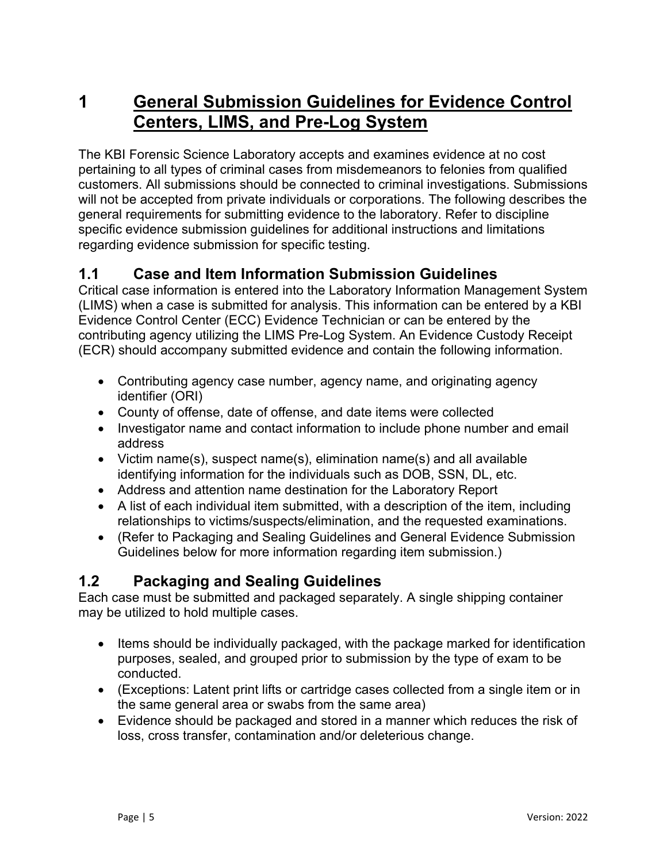## <span id="page-4-0"></span>**1 General Submission Guidelines for Evidence Control Centers, LIMS, and Pre-Log System**

The KBI Forensic Science Laboratory accepts and examines evidence at no cost pertaining to all types of criminal cases from misdemeanors to felonies from qualified customers. All submissions should be connected to criminal investigations. Submissions will not be accepted from private individuals or corporations. The following describes the general requirements for submitting evidence to the laboratory. Refer to discipline specific evidence submission guidelines for additional instructions and limitations regarding evidence submission for specific testing.

## <span id="page-4-1"></span>**1.1 Case and Item Information Submission Guidelines**

Critical case information is entered into the Laboratory Information Management System (LIMS) when a case is submitted for analysis. This information can be entered by a KBI Evidence Control Center (ECC) Evidence Technician or can be entered by the contributing agency utilizing the LIMS Pre-Log System. An Evidence Custody Receipt (ECR) should accompany submitted evidence and contain the following information.

- Contributing agency case number, agency name, and originating agency identifier (ORI)
- County of offense, date of offense, and date items were collected
- Investigator name and contact information to include phone number and email address
- Victim name(s), suspect name(s), elimination name(s) and all available identifying information for the individuals such as DOB, SSN, DL, etc.
- Address and attention name destination for the Laboratory Report
- A list of each individual item submitted, with a description of the item, including relationships to victims/suspects/elimination, and the requested examinations.
- (Refer to Packaging and Sealing Guidelines and General Evidence Submission Guidelines below for more information regarding item submission.)

#### <span id="page-4-2"></span>**1.2 Packaging and Sealing Guidelines**

Each case must be submitted and packaged separately. A single shipping container may be utilized to hold multiple cases.

- Items should be individually packaged, with the package marked for identification purposes, sealed, and grouped prior to submission by the type of exam to be conducted.
- (Exceptions: Latent print lifts or cartridge cases collected from a single item or in the same general area or swabs from the same area)
- Evidence should be packaged and stored in a manner which reduces the risk of loss, cross transfer, contamination and/or deleterious change.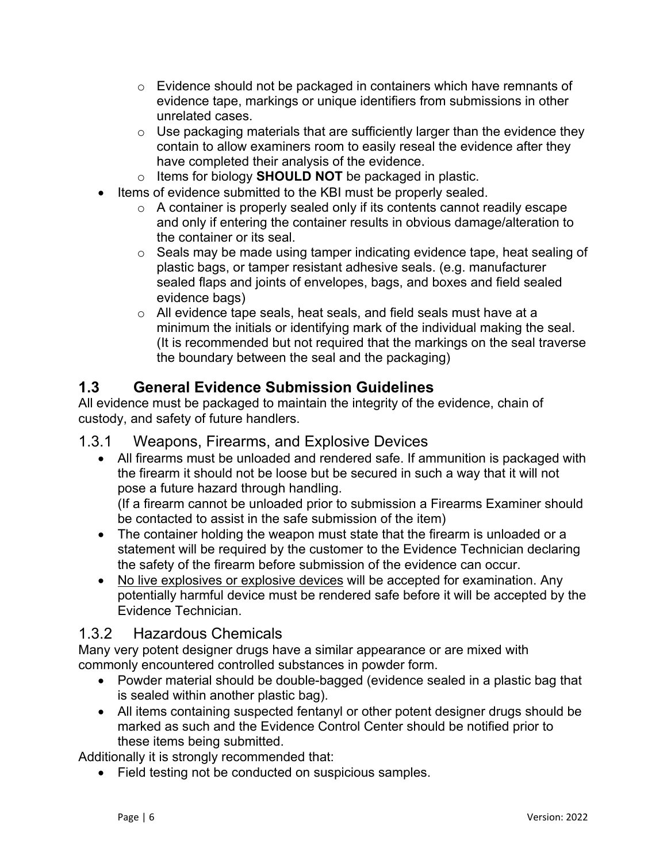- o Evidence should not be packaged in containers which have remnants of evidence tape, markings or unique identifiers from submissions in other unrelated cases.
- $\circ$  Use packaging materials that are sufficiently larger than the evidence they contain to allow examiners room to easily reseal the evidence after they have completed their analysis of the evidence.
- o Items for biology **SHOULD NOT** be packaged in plastic.
- Items of evidence submitted to the KBI must be properly sealed.
	- o A container is properly sealed only if its contents cannot readily escape and only if entering the container results in obvious damage/alteration to the container or its seal.
	- o Seals may be made using tamper indicating evidence tape, heat sealing of plastic bags, or tamper resistant adhesive seals. (e.g. manufacturer sealed flaps and joints of envelopes, bags, and boxes and field sealed evidence bags)
	- o All evidence tape seals, heat seals, and field seals must have at a minimum the initials or identifying mark of the individual making the seal. (It is recommended but not required that the markings on the seal traverse the boundary between the seal and the packaging)

## <span id="page-5-0"></span>**1.3 General Evidence Submission Guidelines**

All evidence must be packaged to maintain the integrity of the evidence, chain of custody, and safety of future handlers.

#### <span id="page-5-1"></span>1.3.1 Weapons, Firearms, and Explosive Devices

 All firearms must be unloaded and rendered safe. If ammunition is packaged with the firearm it should not be loose but be secured in such a way that it will not pose a future hazard through handling.

(If a firearm cannot be unloaded prior to submission a Firearms Examiner should be contacted to assist in the safe submission of the item)

- The container holding the weapon must state that the firearm is unloaded or a statement will be required by the customer to the Evidence Technician declaring the safety of the firearm before submission of the evidence can occur.
- No live explosives or explosive devices will be accepted for examination. Any potentially harmful device must be rendered safe before it will be accepted by the Evidence Technician.

## <span id="page-5-2"></span>1.3.2 Hazardous Chemicals

Many very potent designer drugs have a similar appearance or are mixed with commonly encountered controlled substances in powder form.

- Powder material should be double-bagged (evidence sealed in a plastic bag that is sealed within another plastic bag).
- All items containing suspected fentanyl or other potent designer drugs should be marked as such and the Evidence Control Center should be notified prior to these items being submitted.

Additionally it is strongly recommended that:

Field testing not be conducted on suspicious samples.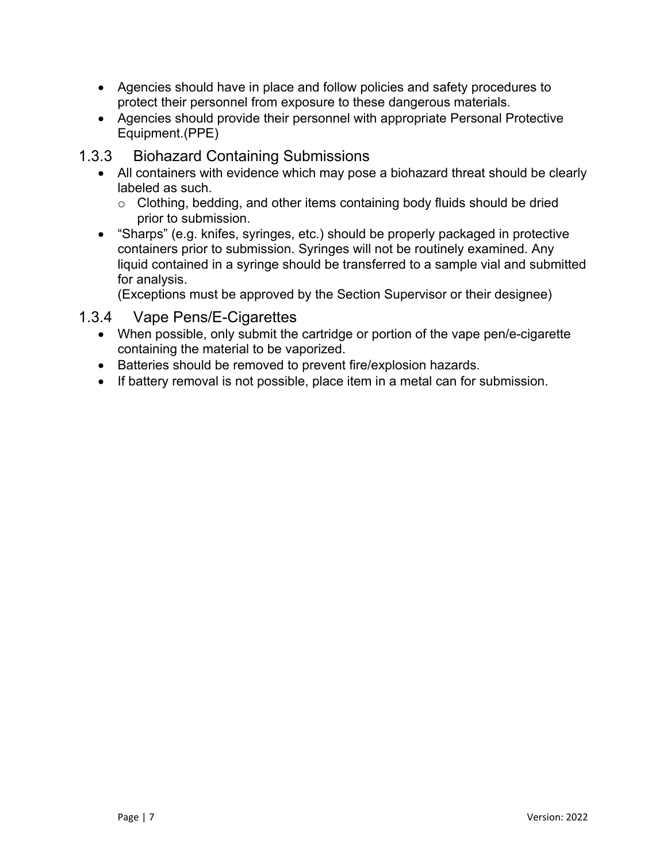- Agencies should have in place and follow policies and safety procedures to protect their personnel from exposure to these dangerous materials.
- Agencies should provide their personnel with appropriate Personal Protective Equipment.(PPE)

#### <span id="page-6-0"></span>1.3.3 Biohazard Containing Submissions

- All containers with evidence which may pose a biohazard threat should be clearly labeled as such.
	- o Clothing, bedding, and other items containing body fluids should be dried prior to submission.
- "Sharps" (e.g. knifes, syringes, etc.) should be properly packaged in protective containers prior to submission. Syringes will not be routinely examined. Any liquid contained in a syringe should be transferred to a sample vial and submitted for analysis.

(Exceptions must be approved by the Section Supervisor or their designee)

#### <span id="page-6-1"></span>1.3.4 Vape Pens/E-Cigarettes

- When possible, only submit the cartridge or portion of the vape pen/e-cigarette containing the material to be vaporized.
- Batteries should be removed to prevent fire/explosion hazards.
- If battery removal is not possible, place item in a metal can for submission.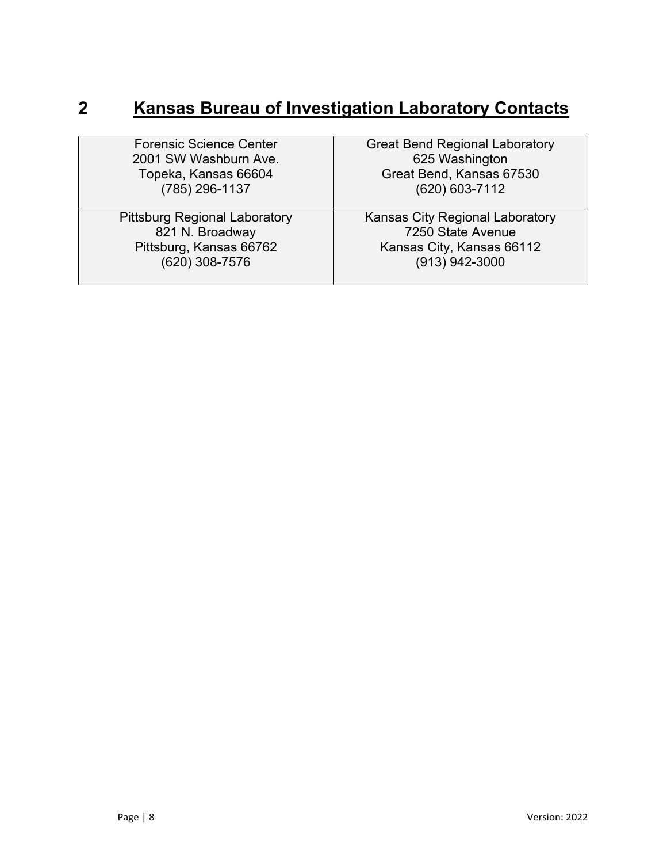# <span id="page-7-0"></span>**2 Kansas Bureau of Investigation Laboratory Contacts**

| <b>Forensic Science Center</b>       | <b>Great Bend Regional Laboratory</b> |
|--------------------------------------|---------------------------------------|
| 2001 SW Washburn Ave.                | 625 Washington                        |
| Topeka, Kansas 66604                 | Great Bend, Kansas 67530              |
| (785) 296-1137                       | (620) 603-7112                        |
|                                      |                                       |
| <b>Pittsburg Regional Laboratory</b> | Kansas City Regional Laboratory       |
| 821 N. Broadway                      | 7250 State Avenue                     |
| Pittsburg, Kansas 66762              | Kansas City, Kansas 66112             |
| (620) 308-7576                       | (913) 942-3000                        |
|                                      |                                       |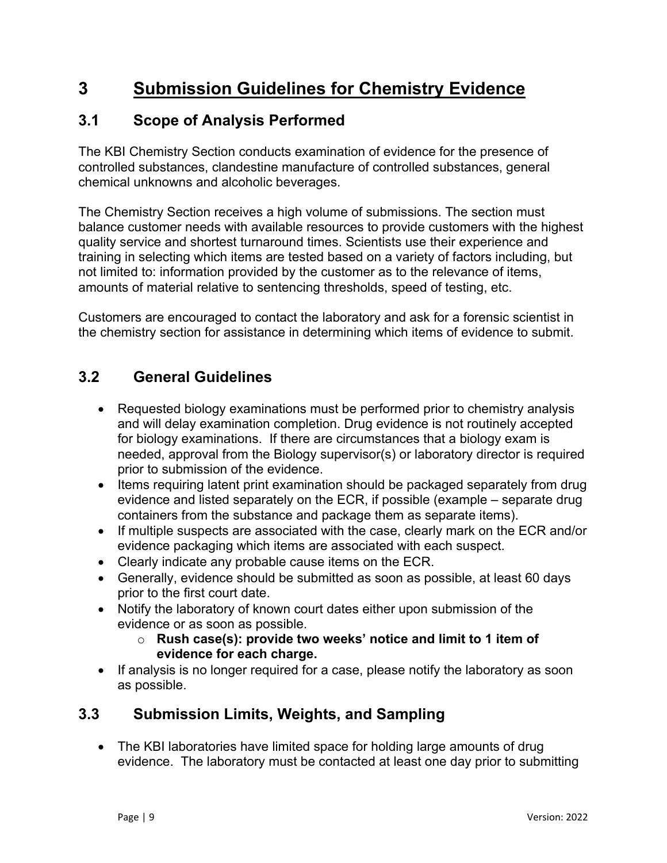## <span id="page-8-0"></span>**3 Submission Guidelines for Chemistry Evidence**

### <span id="page-8-1"></span>**3.1 Scope of Analysis Performed**

The KBI Chemistry Section conducts examination of evidence for the presence of controlled substances, clandestine manufacture of controlled substances, general chemical unknowns and alcoholic beverages.

The Chemistry Section receives a high volume of submissions. The section must balance customer needs with available resources to provide customers with the highest quality service and shortest turnaround times. Scientists use their experience and training in selecting which items are tested based on a variety of factors including, but not limited to: information provided by the customer as to the relevance of items, amounts of material relative to sentencing thresholds, speed of testing, etc.

Customers are encouraged to contact the laboratory and ask for a forensic scientist in the chemistry section for assistance in determining which items of evidence to submit.

### <span id="page-8-2"></span>**3.2 General Guidelines**

- Requested biology examinations must be performed prior to chemistry analysis and will delay examination completion. Drug evidence is not routinely accepted for biology examinations. If there are circumstances that a biology exam is needed, approval from the Biology supervisor(s) or laboratory director is required prior to submission of the evidence.
- Items requiring latent print examination should be packaged separately from drug evidence and listed separately on the ECR, if possible (example – separate drug containers from the substance and package them as separate items).
- If multiple suspects are associated with the case, clearly mark on the ECR and/or evidence packaging which items are associated with each suspect.
- Clearly indicate any probable cause items on the ECR.
- Generally, evidence should be submitted as soon as possible, at least 60 days prior to the first court date.
- Notify the laboratory of known court dates either upon submission of the evidence or as soon as possible.
	- o **Rush case(s): provide two weeks' notice and limit to 1 item of evidence for each charge.**
- If analysis is no longer required for a case, please notify the laboratory as soon as possible.

## <span id="page-8-3"></span>**3.3 Submission Limits, Weights, and Sampling**

• The KBI laboratories have limited space for holding large amounts of drug evidence. The laboratory must be contacted at least one day prior to submitting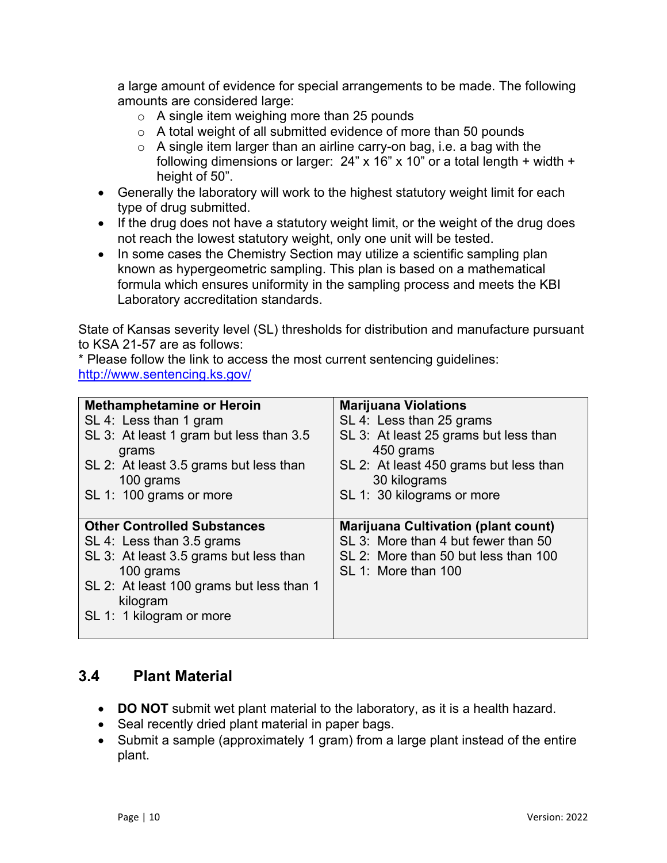a large amount of evidence for special arrangements to be made. The following amounts are considered large:

- $\circ$  A single item weighing more than 25 pounds
- o A total weight of all submitted evidence of more than 50 pounds
- o A single item larger than an airline carry-on bag, i.e. a bag with the following dimensions or larger:  $24" \times 16" \times 10"$  or a total length + width + height of 50".
- Generally the laboratory will work to the highest statutory weight limit for each type of drug submitted.
- If the drug does not have a statutory weight limit, or the weight of the drug does not reach the lowest statutory weight, only one unit will be tested.
- In some cases the Chemistry Section may utilize a scientific sampling plan known as hypergeometric sampling. This plan is based on a mathematical formula which ensures uniformity in the sampling process and meets the KBI Laboratory accreditation standards.

State of Kansas severity level (SL) thresholds for distribution and manufacture pursuant to KSA 21-57 are as follows:

\* Please follow the link to access the most current sentencing guidelines: <http://www.sentencing.ks.gov/>

| <b>Methamphetamine or Heroin</b>                 | <b>Marijuana Violations</b>                        |
|--------------------------------------------------|----------------------------------------------------|
| SL 4: Less than 1 gram                           | SL 4: Less than 25 grams                           |
| SL 3: At least 1 gram but less than 3.5<br>grams | SL 3: At least 25 grams but less than<br>450 grams |
| SL 2: At least 3.5 grams but less than           | SL 2: At least 450 grams but less than             |
| 100 grams                                        | 30 kilograms                                       |
| SL 1: 100 grams or more                          | SL 1: 30 kilograms or more                         |
|                                                  |                                                    |
|                                                  |                                                    |
| <b>Other Controlled Substances</b>               | <b>Marijuana Cultivation (plant count)</b>         |
| SL 4: Less than 3.5 grams                        | SL 3: More than 4 but fewer than 50                |
| SL 3: At least 3.5 grams but less than           | SL 2: More than 50 but less than 100               |
| 100 grams                                        | SL 1: More than 100                                |
| SL 2: At least 100 grams but less than 1         |                                                    |
| kilogram                                         |                                                    |
| SL 1: 1 kilogram or more                         |                                                    |

#### <span id="page-9-0"></span>**3.4 Plant Material**

- **DO NOT** submit wet plant material to the laboratory, as it is a health hazard.
- Seal recently dried plant material in paper bags.
- Submit a sample (approximately 1 gram) from a large plant instead of the entire plant.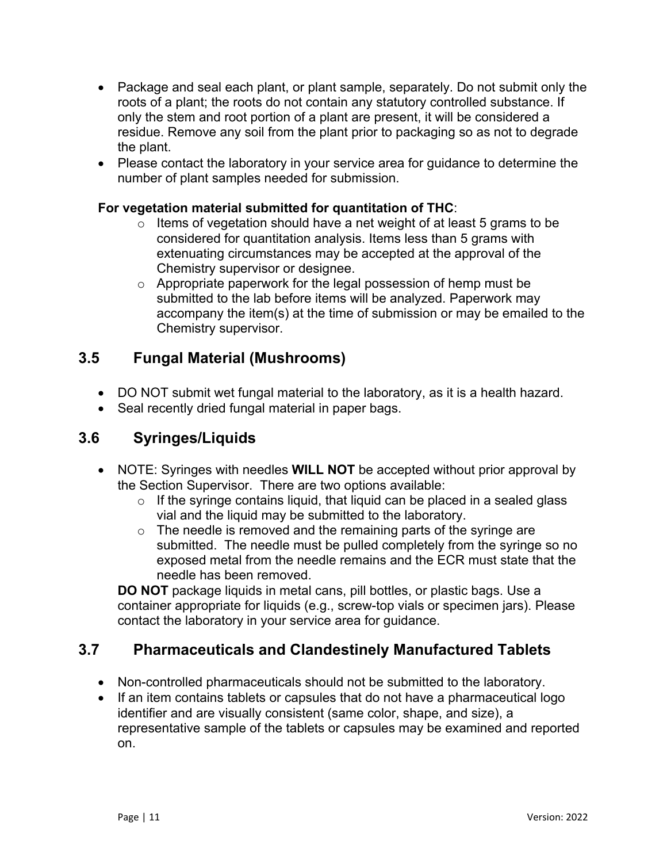- Package and seal each plant, or plant sample, separately. Do not submit only the roots of a plant; the roots do not contain any statutory controlled substance. If only the stem and root portion of a plant are present, it will be considered a residue. Remove any soil from the plant prior to packaging so as not to degrade the plant.
- Please contact the laboratory in your service area for guidance to determine the number of plant samples needed for submission.

#### **For vegetation material submitted for quantitation of THC**:

- $\circ$  Items of vegetation should have a net weight of at least 5 grams to be considered for quantitation analysis. Items less than 5 grams with extenuating circumstances may be accepted at the approval of the Chemistry supervisor or designee.
- o Appropriate paperwork for the legal possession of hemp must be submitted to the lab before items will be analyzed. Paperwork may accompany the item(s) at the time of submission or may be emailed to the Chemistry supervisor.

#### <span id="page-10-0"></span>**3.5 Fungal Material (Mushrooms)**

- DO NOT submit wet fungal material to the laboratory, as it is a health hazard.
- Seal recently dried fungal material in paper bags.

#### <span id="page-10-1"></span>**3.6 Syringes/Liquids**

- NOTE: Syringes with needles **WILL NOT** be accepted without prior approval by the Section Supervisor. There are two options available:
	- $\circ$  If the syringe contains liquid, that liquid can be placed in a sealed glass vial and the liquid may be submitted to the laboratory.
	- $\circ$  The needle is removed and the remaining parts of the syringe are submitted. The needle must be pulled completely from the syringe so no exposed metal from the needle remains and the ECR must state that the needle has been removed.

**DO NOT** package liquids in metal cans, pill bottles, or plastic bags. Use a container appropriate for liquids (e.g., screw-top vials or specimen jars). Please contact the laboratory in your service area for guidance.

#### <span id="page-10-2"></span>**3.7 Pharmaceuticals and Clandestinely Manufactured Tablets**

- Non-controlled pharmaceuticals should not be submitted to the laboratory.
- If an item contains tablets or capsules that do not have a pharmaceutical logo identifier and are visually consistent (same color, shape, and size), a representative sample of the tablets or capsules may be examined and reported on.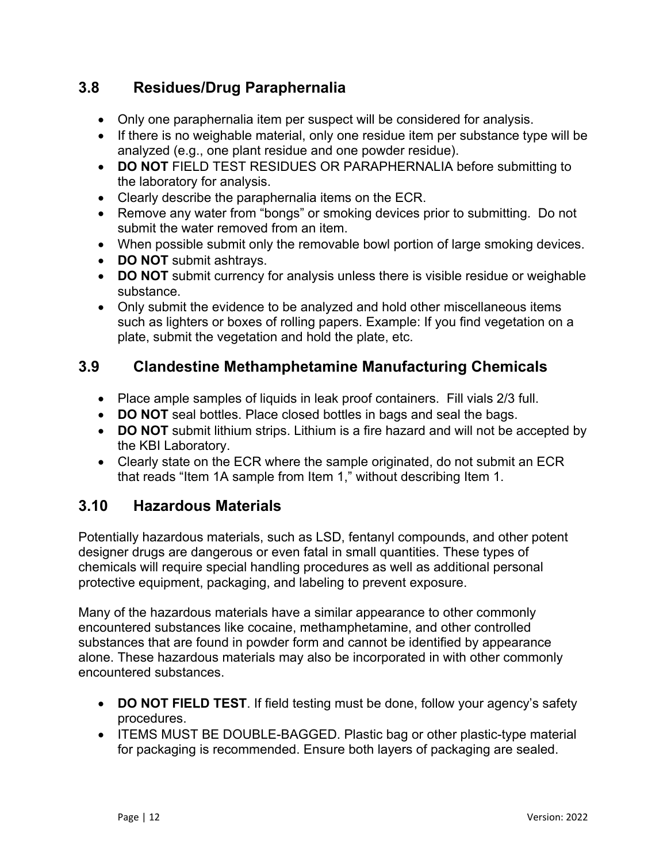## <span id="page-11-0"></span>**3.8 Residues/Drug Paraphernalia**

- Only one paraphernalia item per suspect will be considered for analysis.
- If there is no weighable material, only one residue item per substance type will be analyzed (e.g., one plant residue and one powder residue).
- **DO NOT** FIELD TEST RESIDUES OR PARAPHERNALIA before submitting to the laboratory for analysis.
- Clearly describe the paraphernalia items on the ECR.
- Remove any water from "bongs" or smoking devices prior to submitting. Do not submit the water removed from an item.
- When possible submit only the removable bowl portion of large smoking devices.
- **DO NOT** submit ashtrays.
- **DO NOT** submit currency for analysis unless there is visible residue or weighable substance.
- Only submit the evidence to be analyzed and hold other miscellaneous items such as lighters or boxes of rolling papers. Example: If you find vegetation on a plate, submit the vegetation and hold the plate, etc.

#### <span id="page-11-1"></span>**3.9 Clandestine Methamphetamine Manufacturing Chemicals**

- Place ample samples of liquids in leak proof containers. Fill vials 2/3 full.
- **DO NOT** seal bottles. Place closed bottles in bags and seal the bags.
- **DO NOT** submit lithium strips. Lithium is a fire hazard and will not be accepted by the KBI Laboratory.
- Clearly state on the ECR where the sample originated, do not submit an ECR that reads "Item 1A sample from Item 1," without describing Item 1.

#### <span id="page-11-2"></span>**3.10 Hazardous Materials**

Potentially hazardous materials, such as LSD, fentanyl compounds, and other potent designer drugs are dangerous or even fatal in small quantities. These types of chemicals will require special handling procedures as well as additional personal protective equipment, packaging, and labeling to prevent exposure.

Many of the hazardous materials have a similar appearance to other commonly encountered substances like cocaine, methamphetamine, and other controlled substances that are found in powder form and cannot be identified by appearance alone. These hazardous materials may also be incorporated in with other commonly encountered substances.

- **DO NOT FIELD TEST**. If field testing must be done, follow your agency's safety procedures.
- ITEMS MUST BE DOUBLE-BAGGED. Plastic bag or other plastic-type material for packaging is recommended. Ensure both layers of packaging are sealed.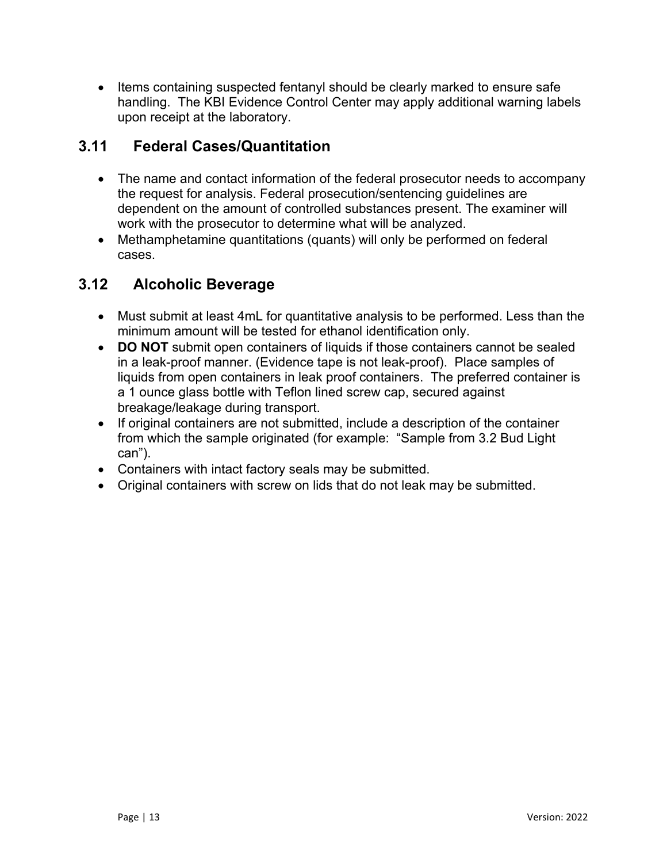• Items containing suspected fentanyl should be clearly marked to ensure safe handling. The KBI Evidence Control Center may apply additional warning labels upon receipt at the laboratory.

#### <span id="page-12-0"></span>**3.11 Federal Cases/Quantitation**

- The name and contact information of the federal prosecutor needs to accompany the request for analysis. Federal prosecution/sentencing guidelines are dependent on the amount of controlled substances present. The examiner will work with the prosecutor to determine what will be analyzed.
- Methamphetamine quantitations (quants) will only be performed on federal cases.

## <span id="page-12-1"></span>**3.12 Alcoholic Beverage**

- Must submit at least 4mL for quantitative analysis to be performed. Less than the minimum amount will be tested for ethanol identification only.
- **DO NOT** submit open containers of liquids if those containers cannot be sealed in a leak-proof manner. (Evidence tape is not leak-proof). Place samples of liquids from open containers in leak proof containers. The preferred container is a 1 ounce glass bottle with Teflon lined screw cap, secured against breakage/leakage during transport.
- If original containers are not submitted, include a description of the container from which the sample originated (for example: "Sample from 3.2 Bud Light can").
- Containers with intact factory seals may be submitted.
- Original containers with screw on lids that do not leak may be submitted.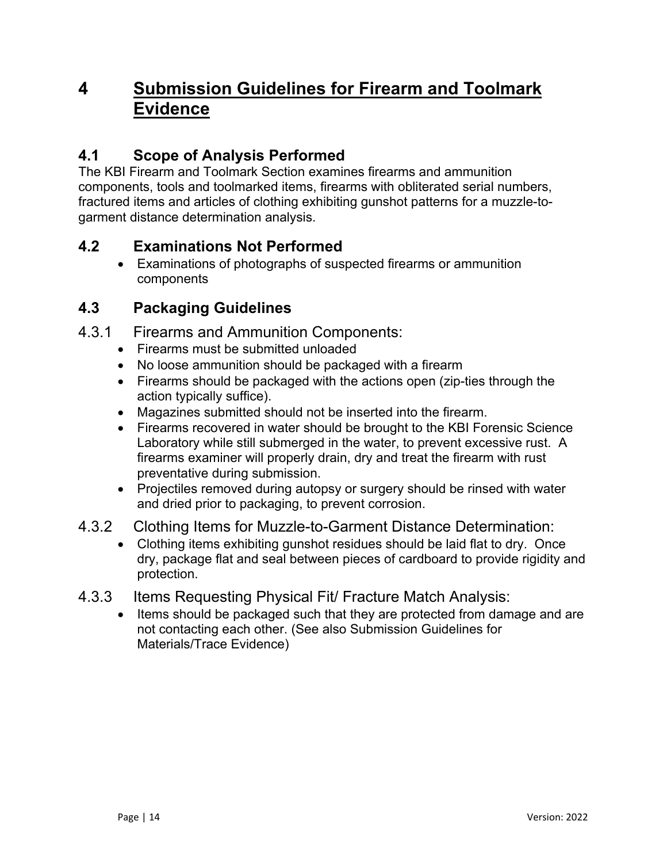## <span id="page-13-0"></span>**4 Submission Guidelines for Firearm and Toolmark Evidence**

## <span id="page-13-1"></span>**4.1 Scope of Analysis Performed**

The KBI Firearm and Toolmark Section examines firearms and ammunition components, tools and toolmarked items, firearms with obliterated serial numbers, fractured items and articles of clothing exhibiting gunshot patterns for a muzzle-togarment distance determination analysis.

### <span id="page-13-2"></span>**4.2 Examinations Not Performed**

 Examinations of photographs of suspected firearms or ammunition components

## <span id="page-13-3"></span>**4.3 Packaging Guidelines**

- <span id="page-13-4"></span>4.3.1 Firearms and Ammunition Components:
	- Firearms must be submitted unloaded
	- No loose ammunition should be packaged with a firearm
	- Firearms should be packaged with the actions open (zip-ties through the action typically suffice).
	- Magazines submitted should not be inserted into the firearm.
	- Firearms recovered in water should be brought to the KBI Forensic Science Laboratory while still submerged in the water, to prevent excessive rust. A firearms examiner will properly drain, dry and treat the firearm with rust preventative during submission.
	- Projectiles removed during autopsy or surgery should be rinsed with water and dried prior to packaging, to prevent corrosion.
- <span id="page-13-5"></span>4.3.2 Clothing Items for Muzzle-to-Garment Distance Determination:
	- Clothing items exhibiting gunshot residues should be laid flat to dry. Once dry, package flat and seal between pieces of cardboard to provide rigidity and protection.
- <span id="page-13-6"></span>4.3.3 Items Requesting Physical Fit/ Fracture Match Analysis:
	- Items should be packaged such that they are protected from damage and are not contacting each other. (See also Submission Guidelines for Materials/Trace Evidence)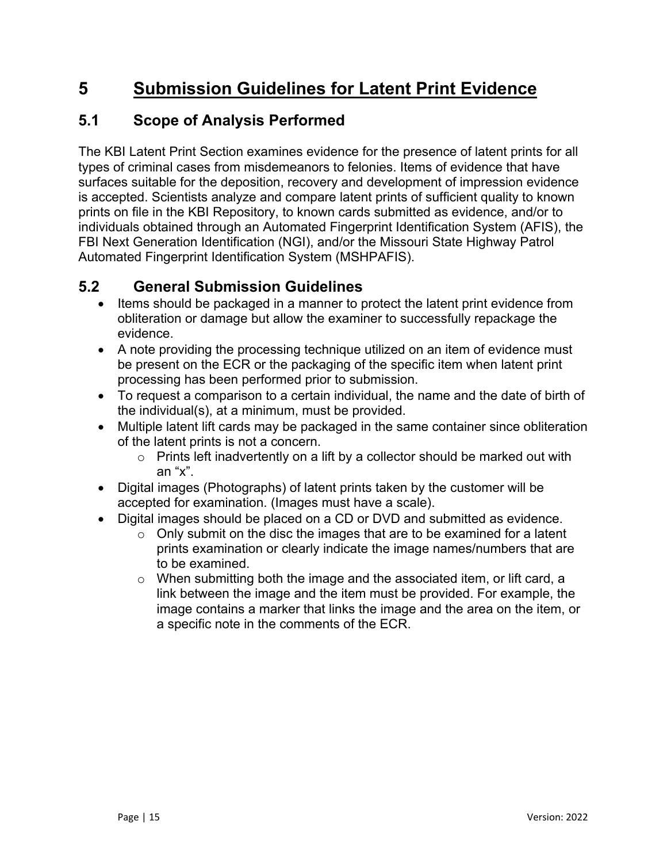## <span id="page-14-0"></span>**5 Submission Guidelines for Latent Print Evidence**

## <span id="page-14-1"></span>**5.1 Scope of Analysis Performed**

The KBI Latent Print Section examines evidence for the presence of latent prints for all types of criminal cases from misdemeanors to felonies. Items of evidence that have surfaces suitable for the deposition, recovery and development of impression evidence is accepted. Scientists analyze and compare latent prints of sufficient quality to known prints on file in the KBI Repository, to known cards submitted as evidence, and/or to individuals obtained through an Automated Fingerprint Identification System (AFIS), the FBI Next Generation Identification (NGI), and/or the Missouri State Highway Patrol Automated Fingerprint Identification System (MSHPAFIS).

#### <span id="page-14-2"></span>**5.2 General Submission Guidelines**

- Items should be packaged in a manner to protect the latent print evidence from obliteration or damage but allow the examiner to successfully repackage the evidence.
- A note providing the processing technique utilized on an item of evidence must be present on the ECR or the packaging of the specific item when latent print processing has been performed prior to submission.
- To request a comparison to a certain individual, the name and the date of birth of the individual(s), at a minimum, must be provided.
- Multiple latent lift cards may be packaged in the same container since obliteration of the latent prints is not a concern.
	- $\circ$  Prints left inadvertently on a lift by a collector should be marked out with an "x".
- Digital images (Photographs) of latent prints taken by the customer will be accepted for examination. (Images must have a scale).
- Digital images should be placed on a CD or DVD and submitted as evidence.
	- $\circ$  Only submit on the disc the images that are to be examined for a latent prints examination or clearly indicate the image names/numbers that are to be examined.
	- o When submitting both the image and the associated item, or lift card, a link between the image and the item must be provided. For example, the image contains a marker that links the image and the area on the item, or a specific note in the comments of the ECR.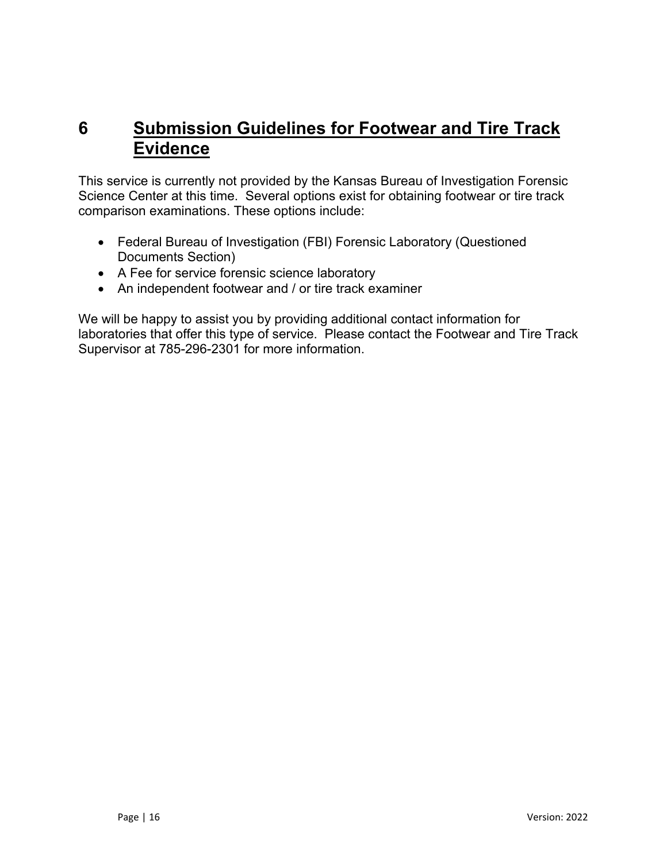## <span id="page-15-0"></span>**6 Submission Guidelines for Footwear and Tire Track Evidence**

This service is currently not provided by the Kansas Bureau of Investigation Forensic Science Center at this time. Several options exist for obtaining footwear or tire track comparison examinations. These options include:

- Federal Bureau of Investigation (FBI) Forensic Laboratory (Questioned Documents Section)
- A Fee for service forensic science laboratory
- An independent footwear and / or tire track examiner

We will be happy to assist you by providing additional contact information for laboratories that offer this type of service. Please contact the Footwear and Tire Track Supervisor at 785-296-2301 for more information.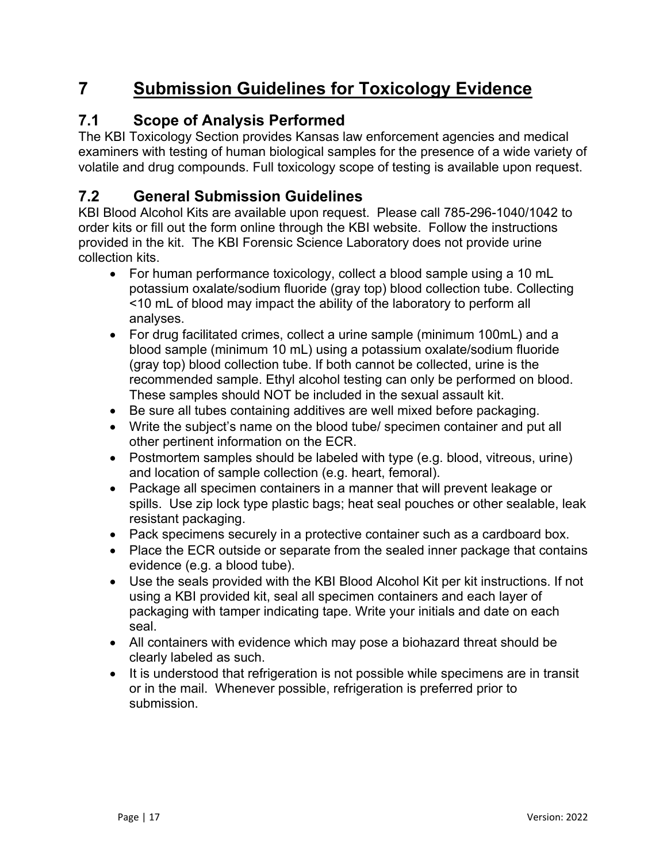## <span id="page-16-0"></span>**7 Submission Guidelines for Toxicology Evidence**

## <span id="page-16-1"></span>**7.1 Scope of Analysis Performed**

The KBI Toxicology Section provides Kansas law enforcement agencies and medical examiners with testing of human biological samples for the presence of a wide variety of volatile and drug compounds. Full toxicology scope of testing is available upon request.

## <span id="page-16-2"></span>**7.2 General Submission Guidelines**

KBI Blood Alcohol Kits are available upon request. Please call 785-296-1040/1042 to order kits or fill out the form online through the KBI website. Follow the instructions provided in the kit. The KBI Forensic Science Laboratory does not provide urine collection kits.

- For human performance toxicology, collect a blood sample using a 10 mL potassium oxalate/sodium fluoride (gray top) blood collection tube. Collecting <10 mL of blood may impact the ability of the laboratory to perform all analyses.
- For drug facilitated crimes, collect a urine sample (minimum 100mL) and a blood sample (minimum 10 mL) using a potassium oxalate/sodium fluoride (gray top) blood collection tube. If both cannot be collected, urine is the recommended sample. Ethyl alcohol testing can only be performed on blood. These samples should NOT be included in the sexual assault kit.
- Be sure all tubes containing additives are well mixed before packaging.
- Write the subject's name on the blood tube/ specimen container and put all other pertinent information on the ECR.
- Postmortem samples should be labeled with type (e.g. blood, vitreous, urine) and location of sample collection (e.g. heart, femoral).
- Package all specimen containers in a manner that will prevent leakage or spills. Use zip lock type plastic bags; heat seal pouches or other sealable, leak resistant packaging.
- Pack specimens securely in a protective container such as a cardboard box.
- Place the ECR outside or separate from the sealed inner package that contains evidence (e.g. a blood tube).
- Use the seals provided with the KBI Blood Alcohol Kit per kit instructions. If not using a KBI provided kit, seal all specimen containers and each layer of packaging with tamper indicating tape. Write your initials and date on each seal.
- All containers with evidence which may pose a biohazard threat should be clearly labeled as such.
- It is understood that refrigeration is not possible while specimens are in transit or in the mail. Whenever possible, refrigeration is preferred prior to submission.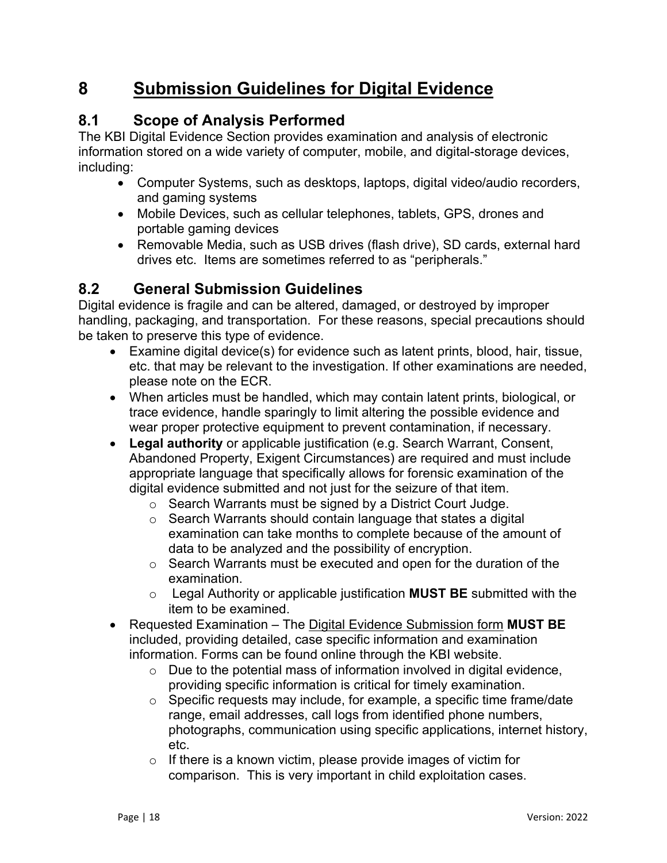## <span id="page-17-0"></span>**8 Submission Guidelines for Digital Evidence**

## <span id="page-17-1"></span>**8.1 Scope of Analysis Performed**

The KBI Digital Evidence Section provides examination and analysis of electronic information stored on a wide variety of computer, mobile, and digital-storage devices, including:

- Computer Systems, such as desktops, laptops, digital video/audio recorders, and gaming systems
- Mobile Devices, such as cellular telephones, tablets, GPS, drones and portable gaming devices
- Removable Media, such as USB drives (flash drive), SD cards, external hard drives etc. Items are sometimes referred to as "peripherals."

#### <span id="page-17-2"></span>**8.2 General Submission Guidelines**

Digital evidence is fragile and can be altered, damaged, or destroyed by improper handling, packaging, and transportation. For these reasons, special precautions should be taken to preserve this type of evidence.

- Examine digital device(s) for evidence such as latent prints, blood, hair, tissue, etc. that may be relevant to the investigation. If other examinations are needed, please note on the ECR.
- When articles must be handled, which may contain latent prints, biological, or trace evidence, handle sparingly to limit altering the possible evidence and wear proper protective equipment to prevent contamination, if necessary.
- **Legal authority** or applicable justification (e.g. Search Warrant, Consent, Abandoned Property, Exigent Circumstances) are required and must include appropriate language that specifically allows for forensic examination of the digital evidence submitted and not just for the seizure of that item.
	- o Search Warrants must be signed by a District Court Judge.
	- o Search Warrants should contain language that states a digital examination can take months to complete because of the amount of data to be analyzed and the possibility of encryption.
	- o Search Warrants must be executed and open for the duration of the examination.
	- o Legal Authority or applicable justification **MUST BE** submitted with the item to be examined.
- Requested Examination The Digital Evidence Submission form **MUST BE** included, providing detailed, case specific information and examination information. Forms can be found online through the KBI website.
	- $\circ$  Due to the potential mass of information involved in digital evidence, providing specific information is critical for timely examination.
	- $\circ$  Specific requests may include, for example, a specific time frame/date range, email addresses, call logs from identified phone numbers, photographs, communication using specific applications, internet history, etc.
	- $\circ$  If there is a known victim, please provide images of victim for comparison. This is very important in child exploitation cases.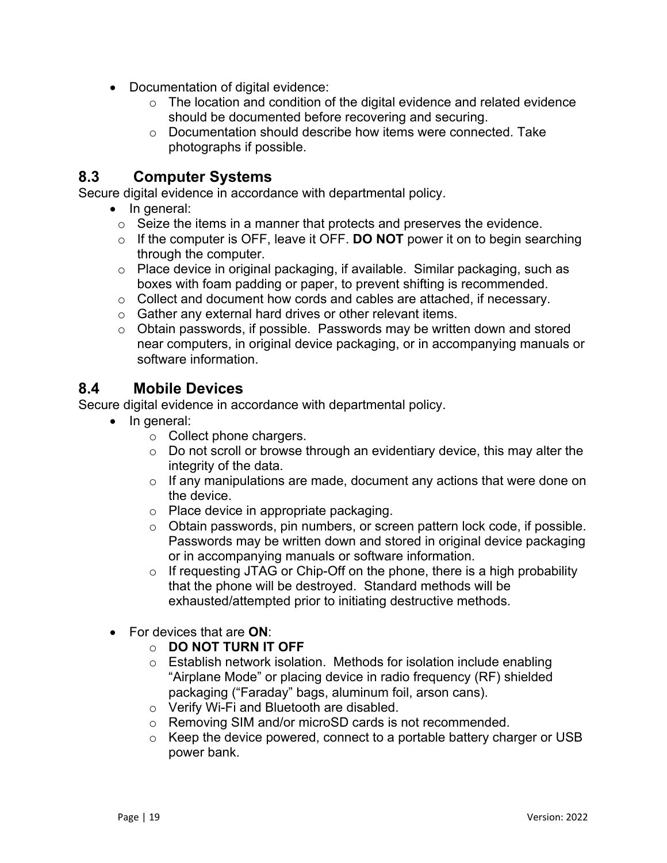- Documentation of digital evidence:
	- o The location and condition of the digital evidence and related evidence should be documented before recovering and securing.
	- o Documentation should describe how items were connected. Take photographs if possible.

#### <span id="page-18-0"></span>**8.3 Computer Systems**

Secure digital evidence in accordance with departmental policy.

- In general:
	- o Seize the items in a manner that protects and preserves the evidence.
	- o If the computer is OFF, leave it OFF. **DO NOT** power it on to begin searching through the computer.
	- o Place device in original packaging, if available. Similar packaging, such as boxes with foam padding or paper, to prevent shifting is recommended.
	- o Collect and document how cords and cables are attached, if necessary.
	- o Gather any external hard drives or other relevant items.
	- o Obtain passwords, if possible. Passwords may be written down and stored near computers, in original device packaging, or in accompanying manuals or software information.

#### <span id="page-18-1"></span>**8.4 Mobile Devices**

Secure digital evidence in accordance with departmental policy.

- In general:
	- o Collect phone chargers.
	- $\circ$  Do not scroll or browse through an evidentiary device, this may alter the integrity of the data.
	- $\circ$  If any manipulations are made, document any actions that were done on the device.
	- o Place device in appropriate packaging.
	- o Obtain passwords, pin numbers, or screen pattern lock code, if possible. Passwords may be written down and stored in original device packaging or in accompanying manuals or software information.
	- $\circ$  If requesting JTAG or Chip-Off on the phone, there is a high probability that the phone will be destroyed. Standard methods will be exhausted/attempted prior to initiating destructive methods.
- For devices that are **ON**:
	- o **DO NOT TURN IT OFF**
	- o Establish network isolation. Methods for isolation include enabling "Airplane Mode" or placing device in radio frequency (RF) shielded packaging ("Faraday" bags, aluminum foil, arson cans).
	- o Verify Wi-Fi and Bluetooth are disabled.
	- o Removing SIM and/or microSD cards is not recommended.
	- o Keep the device powered, connect to a portable battery charger or USB power bank.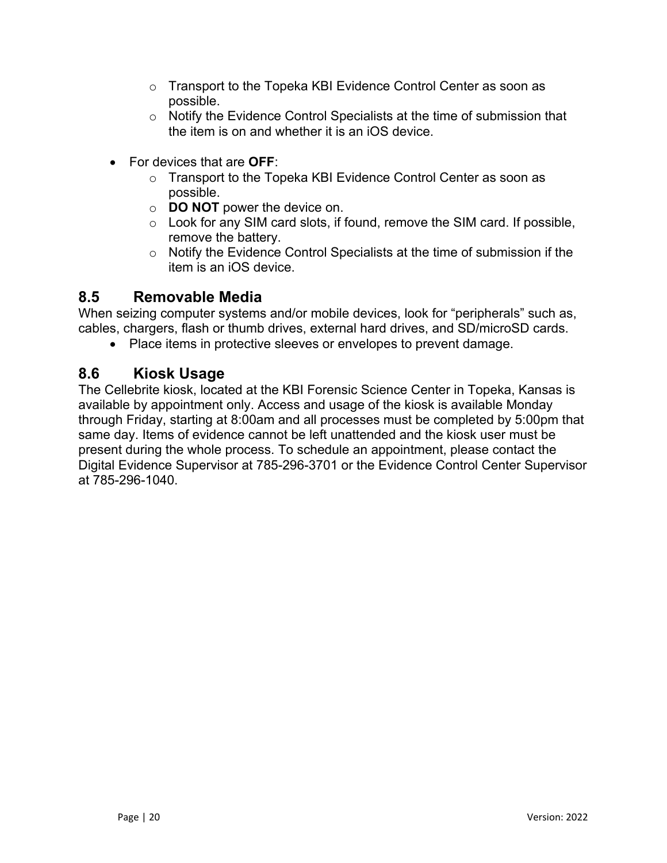- o Transport to the Topeka KBI Evidence Control Center as soon as possible.
- o Notify the Evidence Control Specialists at the time of submission that the item is on and whether it is an iOS device.
- For devices that are **OFF**:
	- o Transport to the Topeka KBI Evidence Control Center as soon as possible.
	- o **DO NOT** power the device on.
	- $\circ$  Look for any SIM card slots, if found, remove the SIM card. If possible, remove the battery.
	- o Notify the Evidence Control Specialists at the time of submission if the item is an iOS device.

#### <span id="page-19-0"></span>**8.5 Removable Media**

When seizing computer systems and/or mobile devices, look for "peripherals" such as, cables, chargers, flash or thumb drives, external hard drives, and SD/microSD cards.

• Place items in protective sleeves or envelopes to prevent damage.

#### <span id="page-19-1"></span>**8.6 Kiosk Usage**

The Cellebrite kiosk, located at the KBI Forensic Science Center in Topeka, Kansas is available by appointment only. Access and usage of the kiosk is available Monday through Friday, starting at 8:00am and all processes must be completed by 5:00pm that same day. Items of evidence cannot be left unattended and the kiosk user must be present during the whole process. To schedule an appointment, please contact the Digital Evidence Supervisor at 785-296-3701 or the Evidence Control Center Supervisor at 785-296-1040.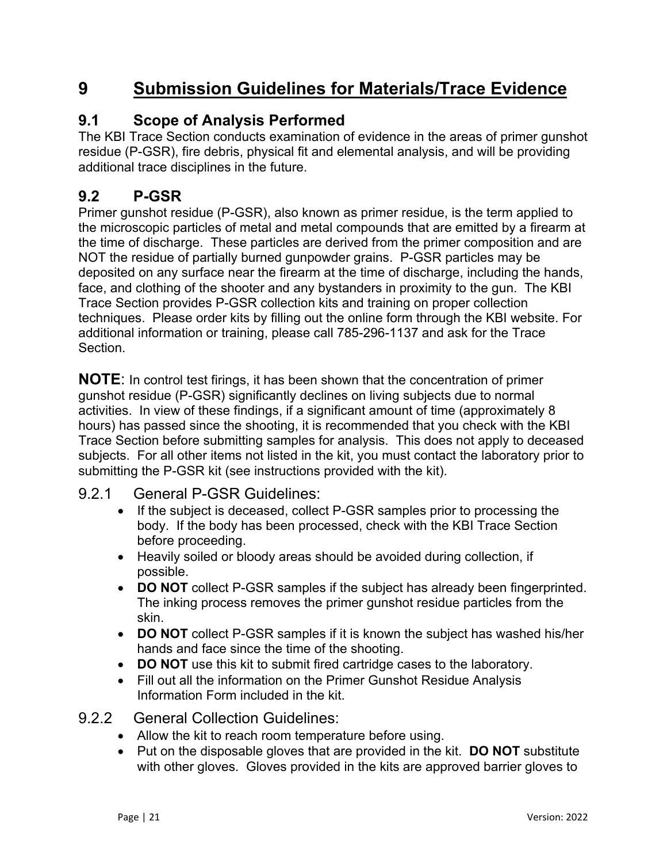## <span id="page-20-0"></span>**9 Submission Guidelines for Materials/Trace Evidence**

#### <span id="page-20-1"></span>**9.1 Scope of Analysis Performed**

The KBI Trace Section conducts examination of evidence in the areas of primer gunshot residue (P-GSR), fire debris, physical fit and elemental analysis, and will be providing additional trace disciplines in the future.

#### <span id="page-20-2"></span>**9.2 P-GSR**

Primer gunshot residue (P-GSR), also known as primer residue, is the term applied to the microscopic particles of metal and metal compounds that are emitted by a firearm at the time of discharge. These particles are derived from the primer composition and are NOT the residue of partially burned gunpowder grains. P-GSR particles may be deposited on any surface near the firearm at the time of discharge, including the hands, face, and clothing of the shooter and any bystanders in proximity to the gun. The KBI Trace Section provides P-GSR collection kits and training on proper collection techniques. Please order kits by filling out the online form through the KBI website. For additional information or training, please call 785-296-1137 and ask for the Trace **Section** 

**NOTE**: In control test firings, it has been shown that the concentration of primer gunshot residue (P-GSR) significantly declines on living subjects due to normal activities. In view of these findings, if a significant amount of time (approximately 8 hours) has passed since the shooting, it is recommended that you check with the KBI Trace Section before submitting samples for analysis. This does not apply to deceased subjects. For all other items not listed in the kit, you must contact the laboratory prior to submitting the P-GSR kit (see instructions provided with the kit).

#### <span id="page-20-3"></span>9.2.1 General P-GSR Guidelines:

- If the subject is deceased, collect P-GSR samples prior to processing the body. If the body has been processed, check with the KBI Trace Section before proceeding.
- Heavily soiled or bloody areas should be avoided during collection, if possible.
- **DO NOT** collect P-GSR samples if the subject has already been fingerprinted. The inking process removes the primer gunshot residue particles from the skin.
- **DO NOT** collect P-GSR samples if it is known the subject has washed his/her hands and face since the time of the shooting.
- **DO NOT** use this kit to submit fired cartridge cases to the laboratory.
- Fill out all the information on the Primer Gunshot Residue Analysis Information Form included in the kit.
- <span id="page-20-4"></span>9.2.2 General Collection Guidelines:
	- Allow the kit to reach room temperature before using.
	- Put on the disposable gloves that are provided in the kit. **DO NOT** substitute with other gloves. Gloves provided in the kits are approved barrier gloves to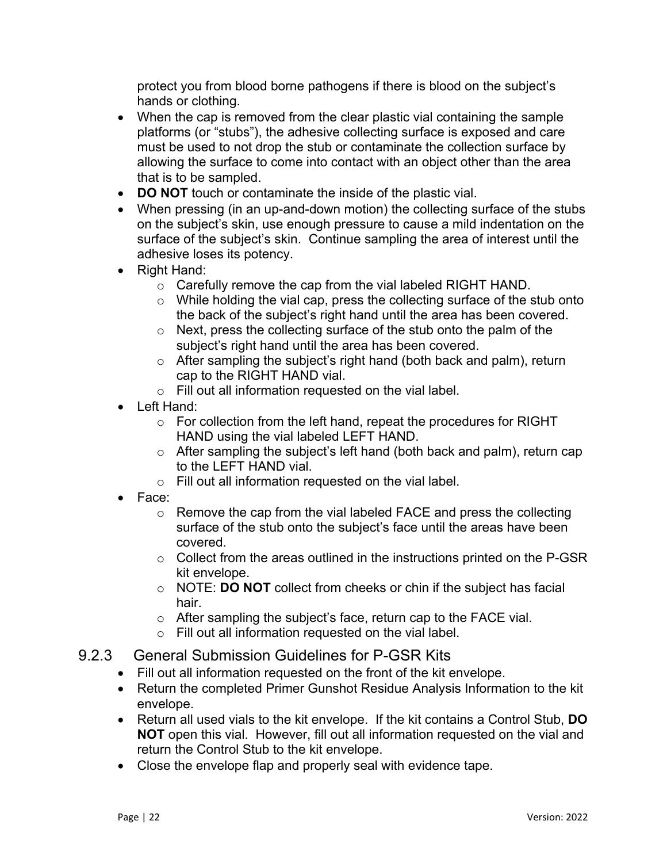protect you from blood borne pathogens if there is blood on the subject's hands or clothing.

- When the cap is removed from the clear plastic vial containing the sample platforms (or "stubs"), the adhesive collecting surface is exposed and care must be used to not drop the stub or contaminate the collection surface by allowing the surface to come into contact with an object other than the area that is to be sampled.
- **DO NOT** touch or contaminate the inside of the plastic vial.
- When pressing (in an up-and-down motion) the collecting surface of the stubs on the subject's skin, use enough pressure to cause a mild indentation on the surface of the subject's skin. Continue sampling the area of interest until the adhesive loses its potency.
- Right Hand:
	- o Carefully remove the cap from the vial labeled RIGHT HAND.
	- o While holding the vial cap, press the collecting surface of the stub onto the back of the subject's right hand until the area has been covered.
	- $\circ$  Next, press the collecting surface of the stub onto the palm of the subject's right hand until the area has been covered.
	- $\circ$  After sampling the subject's right hand (both back and palm), return cap to the RIGHT HAND vial.
	- o Fill out all information requested on the vial label.
- Left Hand:
	- o For collection from the left hand, repeat the procedures for RIGHT HAND using the vial labeled LEFT HAND.
	- o After sampling the subject's left hand (both back and palm), return cap to the LEFT HAND vial.
	- o Fill out all information requested on the vial label.
- Face:
	- $\circ$  Remove the cap from the vial labeled FACE and press the collecting surface of the stub onto the subject's face until the areas have been covered.
	- $\circ$  Collect from the areas outlined in the instructions printed on the P-GSR kit envelope.
	- o NOTE: **DO NOT** collect from cheeks or chin if the subject has facial hair.
	- o After sampling the subject's face, return cap to the FACE vial.
	- o Fill out all information requested on the vial label.
- <span id="page-21-0"></span>9.2.3 General Submission Guidelines for P-GSR Kits
	- Fill out all information requested on the front of the kit envelope.
	- Return the completed Primer Gunshot Residue Analysis Information to the kit envelope.
	- Return all used vials to the kit envelope. If the kit contains a Control Stub, **DO NOT** open this vial. However, fill out all information requested on the vial and return the Control Stub to the kit envelope.
	- Close the envelope flap and properly seal with evidence tape.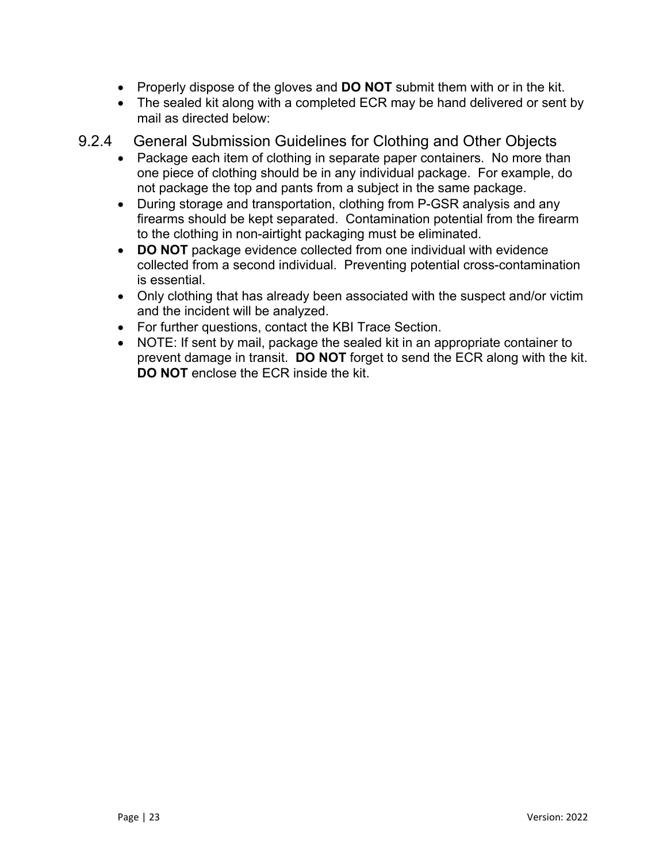- Properly dispose of the gloves and **DO NOT** submit them with or in the kit.
- The sealed kit along with a completed ECR may be hand delivered or sent by mail as directed below:
- <span id="page-22-0"></span>9.2.4 General Submission Guidelines for Clothing and Other Objects
	- Package each item of clothing in separate paper containers. No more than one piece of clothing should be in any individual package. For example, do not package the top and pants from a subject in the same package.
	- During storage and transportation, clothing from P-GSR analysis and any firearms should be kept separated. Contamination potential from the firearm to the clothing in non-airtight packaging must be eliminated.
	- **DO NOT** package evidence collected from one individual with evidence collected from a second individual. Preventing potential cross-contamination is essential.
	- Only clothing that has already been associated with the suspect and/or victim and the incident will be analyzed.
	- For further questions, contact the KBI Trace Section.
	- NOTE: If sent by mail, package the sealed kit in an appropriate container to prevent damage in transit. **DO NOT** forget to send the ECR along with the kit. **DO NOT** enclose the ECR inside the kit.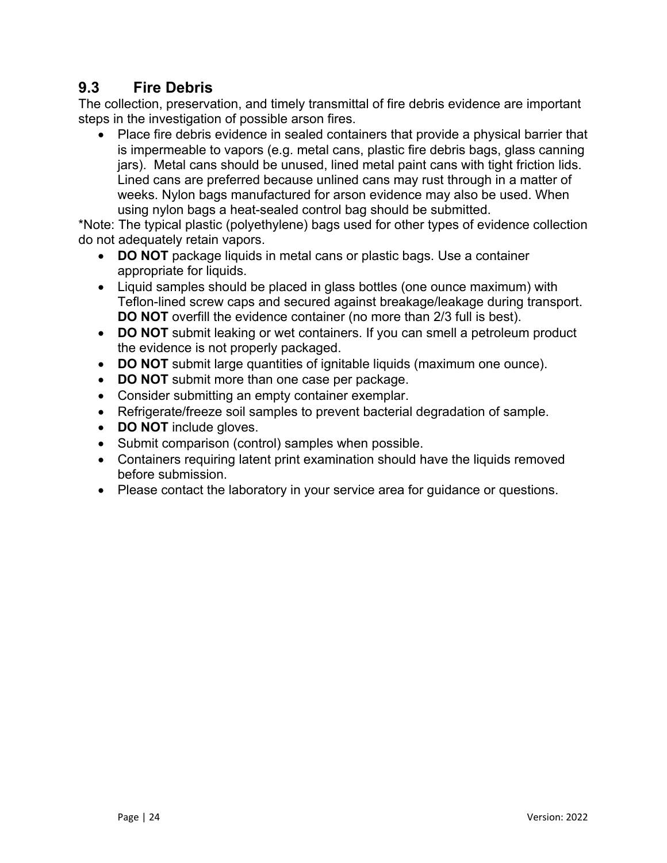## <span id="page-23-0"></span>**9.3 Fire Debris**

The collection, preservation, and timely transmittal of fire debris evidence are important steps in the investigation of possible arson fires.

• Place fire debris evidence in sealed containers that provide a physical barrier that is impermeable to vapors (e.g. metal cans, plastic fire debris bags, glass canning jars). Metal cans should be unused, lined metal paint cans with tight friction lids. Lined cans are preferred because unlined cans may rust through in a matter of weeks. Nylon bags manufactured for arson evidence may also be used. When using nylon bags a heat-sealed control bag should be submitted.

\*Note: The typical plastic (polyethylene) bags used for other types of evidence collection do not adequately retain vapors.

- **DO NOT** package liquids in metal cans or plastic bags. Use a container appropriate for liquids.
- Liquid samples should be placed in glass bottles (one ounce maximum) with Teflon-lined screw caps and secured against breakage/leakage during transport. **DO NOT** overfill the evidence container (no more than 2/3 full is best).
- **DO NOT** submit leaking or wet containers. If you can smell a petroleum product the evidence is not properly packaged.
- **DO NOT** submit large quantities of ignitable liquids (maximum one ounce).
- **DO NOT** submit more than one case per package.
- Consider submitting an empty container exemplar.
- Refrigerate/freeze soil samples to prevent bacterial degradation of sample.
- **DO NOT** include gloves.
- Submit comparison (control) samples when possible.
- Containers requiring latent print examination should have the liquids removed before submission.
- Please contact the laboratory in your service area for guidance or questions.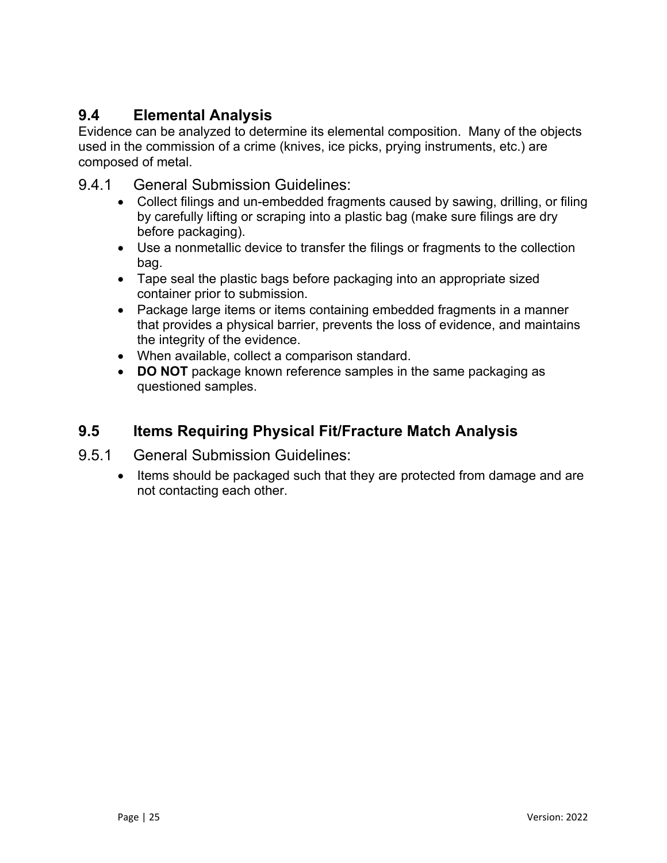## <span id="page-24-0"></span>**9.4 Elemental Analysis**

Evidence can be analyzed to determine its elemental composition. Many of the objects used in the commission of a crime (knives, ice picks, prying instruments, etc.) are composed of metal.

- <span id="page-24-1"></span>9.4.1 General Submission Guidelines:
	- Collect filings and un-embedded fragments caused by sawing, drilling, or filing by carefully lifting or scraping into a plastic bag (make sure filings are dry before packaging).
	- Use a nonmetallic device to transfer the filings or fragments to the collection bag.
	- Tape seal the plastic bags before packaging into an appropriate sized container prior to submission.
	- Package large items or items containing embedded fragments in a manner that provides a physical barrier, prevents the loss of evidence, and maintains the integrity of the evidence.
	- When available, collect a comparison standard.
	- **DO NOT** package known reference samples in the same packaging as questioned samples.

### <span id="page-24-2"></span>**9.5 Items Requiring Physical Fit/Fracture Match Analysis**

- <span id="page-24-3"></span>9.5.1 General Submission Guidelines:
	- Items should be packaged such that they are protected from damage and are not contacting each other.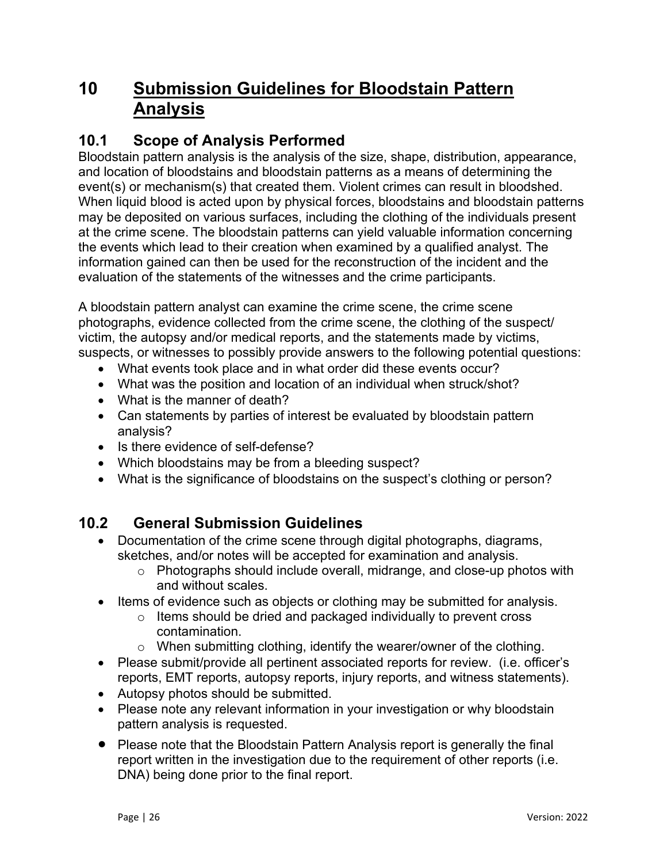## <span id="page-25-0"></span>**10 Submission Guidelines for Bloodstain Pattern Analysis**

### <span id="page-25-1"></span>**10.1 Scope of Analysis Performed**

Bloodstain pattern analysis is the analysis of the size, shape, distribution, appearance, and location of bloodstains and bloodstain patterns as a means of determining the event(s) or mechanism(s) that created them. Violent crimes can result in bloodshed. When liquid blood is acted upon by physical forces, bloodstains and bloodstain patterns may be deposited on various surfaces, including the clothing of the individuals present at the crime scene. The bloodstain patterns can yield valuable information concerning the events which lead to their creation when examined by a qualified analyst. The information gained can then be used for the reconstruction of the incident and the evaluation of the statements of the witnesses and the crime participants.

A bloodstain pattern analyst can examine the crime scene, the crime scene photographs, evidence collected from the crime scene, the clothing of the suspect/ victim, the autopsy and/or medical reports, and the statements made by victims, suspects, or witnesses to possibly provide answers to the following potential questions:

- What events took place and in what order did these events occur?
- What was the position and location of an individual when struck/shot?
- What is the manner of death?
- Can statements by parties of interest be evaluated by bloodstain pattern analysis?
- Is there evidence of self-defense?
- Which bloodstains may be from a bleeding suspect?
- What is the significance of bloodstains on the suspect's clothing or person?

#### <span id="page-25-2"></span>**10.2 General Submission Guidelines**

- Documentation of the crime scene through digital photographs, diagrams, sketches, and/or notes will be accepted for examination and analysis.
	- o Photographs should include overall, midrange, and close-up photos with and without scales.
- Items of evidence such as objects or clothing may be submitted for analysis.
	- $\circ$  Items should be dried and packaged individually to prevent cross contamination.
	- o When submitting clothing, identify the wearer/owner of the clothing.
- Please submit/provide all pertinent associated reports for review. (i.e. officer's reports, EMT reports, autopsy reports, injury reports, and witness statements).
- Autopsy photos should be submitted.
- Please note any relevant information in your investigation or why bloodstain pattern analysis is requested.
- Please note that the Bloodstain Pattern Analysis report is generally the final report written in the investigation due to the requirement of other reports (i.e. DNA) being done prior to the final report.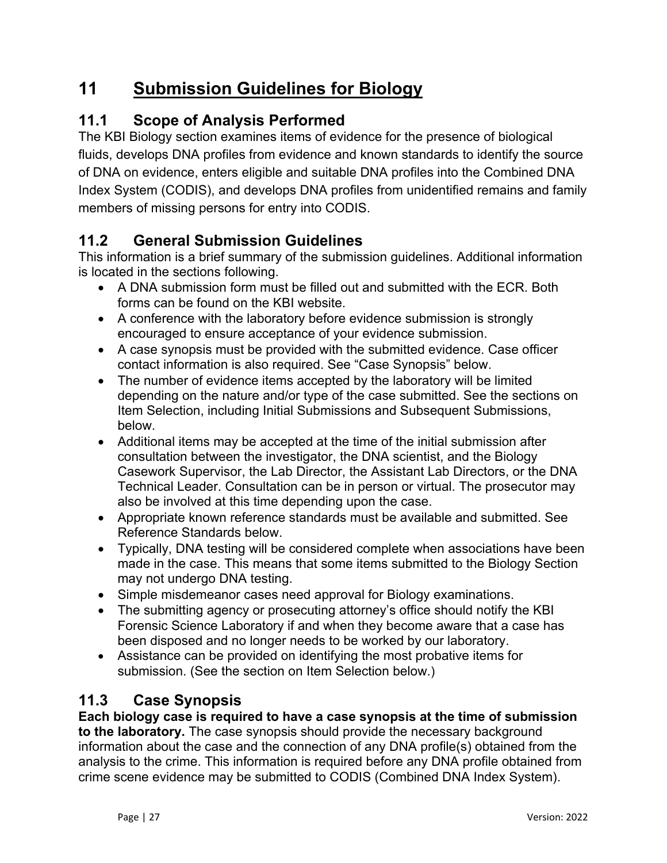## <span id="page-26-0"></span>**11 Submission Guidelines for Biology**

## <span id="page-26-1"></span>**11.1 Scope of Analysis Performed**

The KBI Biology section examines items of evidence for the presence of biological fluids, develops DNA profiles from evidence and known standards to identify the source of DNA on evidence, enters eligible and suitable DNA profiles into the Combined DNA Index System (CODIS), and develops DNA profiles from unidentified remains and family members of missing persons for entry into CODIS.

## <span id="page-26-2"></span>**11.2 General Submission Guidelines**

This information is a brief summary of the submission guidelines. Additional information is located in the sections following.

- A DNA submission form must be filled out and submitted with the ECR. Both forms can be found on the KBI website.
- A conference with the laboratory before evidence submission is strongly encouraged to ensure acceptance of your evidence submission.
- A case synopsis must be provided with the submitted evidence. Case officer contact information is also required. See "Case Synopsis" below.
- The number of evidence items accepted by the laboratory will be limited depending on the nature and/or type of the case submitted. See the sections on Item Selection, including Initial Submissions and Subsequent Submissions, below.
- Additional items may be accepted at the time of the initial submission after consultation between the investigator, the DNA scientist, and the Biology Casework Supervisor, the Lab Director, the Assistant Lab Directors, or the DNA Technical Leader. Consultation can be in person or virtual. The prosecutor may also be involved at this time depending upon the case.
- Appropriate known reference standards must be available and submitted. See Reference Standards below.
- Typically, DNA testing will be considered complete when associations have been made in the case. This means that some items submitted to the Biology Section may not undergo DNA testing.
- Simple misdemeanor cases need approval for Biology examinations.
- The submitting agency or prosecuting attorney's office should notify the KBI Forensic Science Laboratory if and when they become aware that a case has been disposed and no longer needs to be worked by our laboratory.
- Assistance can be provided on identifying the most probative items for submission. (See the section on Item Selection below.)

## <span id="page-26-3"></span>**11.3 Case Synopsis**

**Each biology case is required to have a case synopsis at the time of submission to the laboratory.** The case synopsis should provide the necessary background information about the case and the connection of any DNA profile(s) obtained from the analysis to the crime. This information is required before any DNA profile obtained from crime scene evidence may be submitted to CODIS (Combined DNA Index System).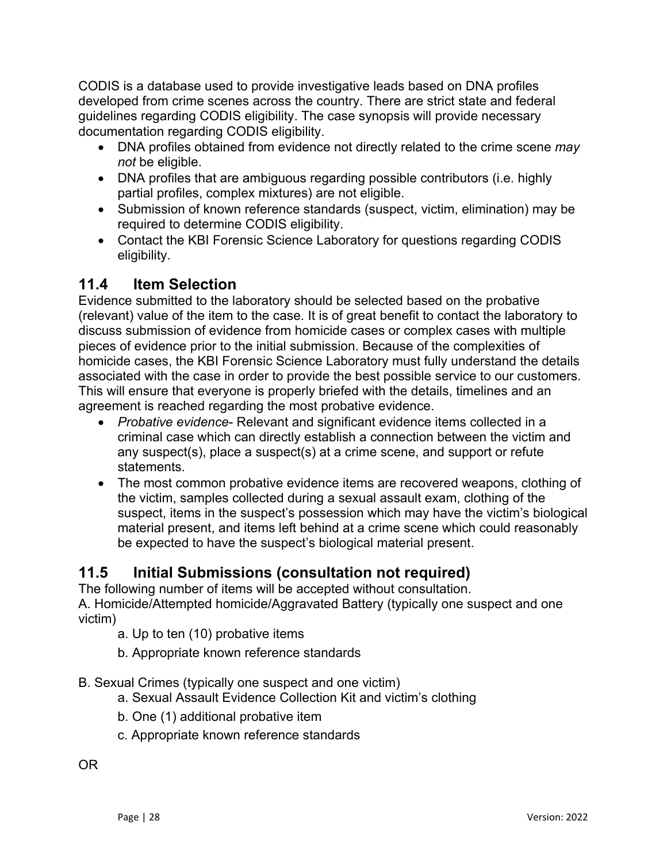CODIS is a database used to provide investigative leads based on DNA profiles developed from crime scenes across the country. There are strict state and federal guidelines regarding CODIS eligibility. The case synopsis will provide necessary documentation regarding CODIS eligibility.

- DNA profiles obtained from evidence not directly related to the crime scene *may not* be eligible.
- DNA profiles that are ambiguous regarding possible contributors (i.e. highly partial profiles, complex mixtures) are not eligible.
- Submission of known reference standards (suspect, victim, elimination) may be required to determine CODIS eligibility.
- Contact the KBI Forensic Science Laboratory for questions regarding CODIS eligibility.

### <span id="page-27-0"></span>**11.4 Item Selection**

Evidence submitted to the laboratory should be selected based on the probative (relevant) value of the item to the case. It is of great benefit to contact the laboratory to discuss submission of evidence from homicide cases or complex cases with multiple pieces of evidence prior to the initial submission. Because of the complexities of homicide cases, the KBI Forensic Science Laboratory must fully understand the details associated with the case in order to provide the best possible service to our customers. This will ensure that everyone is properly briefed with the details, timelines and an agreement is reached regarding the most probative evidence.

- *Probative evidence* Relevant and significant evidence items collected in a criminal case which can directly establish a connection between the victim and any suspect(s), place a suspect(s) at a crime scene, and support or refute statements.
- The most common probative evidence items are recovered weapons, clothing of the victim, samples collected during a sexual assault exam, clothing of the suspect, items in the suspect's possession which may have the victim's biological material present, and items left behind at a crime scene which could reasonably be expected to have the suspect's biological material present.

#### <span id="page-27-1"></span>**11.5 Initial Submissions (consultation not required)**

The following number of items will be accepted without consultation. A. Homicide/Attempted homicide/Aggravated Battery (typically one suspect and one victim)

- a. Up to ten (10) probative items
- b. Appropriate known reference standards
- B. Sexual Crimes (typically one suspect and one victim)
	- a. Sexual Assault Evidence Collection Kit and victim's clothing
	- b. One (1) additional probative item
	- c. Appropriate known reference standards

OR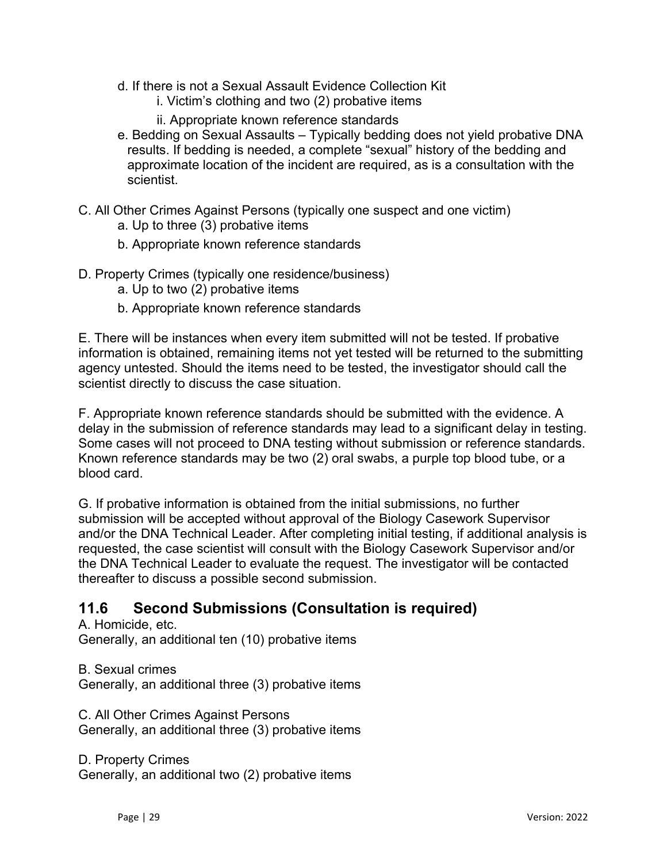- d. If there is not a Sexual Assault Evidence Collection Kit
	- i. Victim's clothing and two (2) probative items
	- ii. Appropriate known reference standards
- e. Bedding on Sexual Assaults Typically bedding does not yield probative DNA results. If bedding is needed, a complete "sexual" history of the bedding and approximate location of the incident are required, as is a consultation with the scientist.
- C. All Other Crimes Against Persons (typically one suspect and one victim) a. Up to three (3) probative items
	- b. Appropriate known reference standards
- D. Property Crimes (typically one residence/business)
	- a. Up to two (2) probative items
	- b. Appropriate known reference standards

E. There will be instances when every item submitted will not be tested. If probative information is obtained, remaining items not yet tested will be returned to the submitting agency untested. Should the items need to be tested, the investigator should call the scientist directly to discuss the case situation.

F. Appropriate known reference standards should be submitted with the evidence. A delay in the submission of reference standards may lead to a significant delay in testing. Some cases will not proceed to DNA testing without submission or reference standards. Known reference standards may be two (2) oral swabs, a purple top blood tube, or a blood card.

G. If probative information is obtained from the initial submissions, no further submission will be accepted without approval of the Biology Casework Supervisor and/or the DNA Technical Leader. After completing initial testing, if additional analysis is requested, the case scientist will consult with the Biology Casework Supervisor and/or the DNA Technical Leader to evaluate the request. The investigator will be contacted thereafter to discuss a possible second submission.

### <span id="page-28-0"></span>**11.6 Second Submissions (Consultation is required)**

A. Homicide, etc. Generally, an additional ten (10) probative items

B. Sexual crimes Generally, an additional three (3) probative items

C. All Other Crimes Against Persons Generally, an additional three (3) probative items

D. Property Crimes Generally, an additional two (2) probative items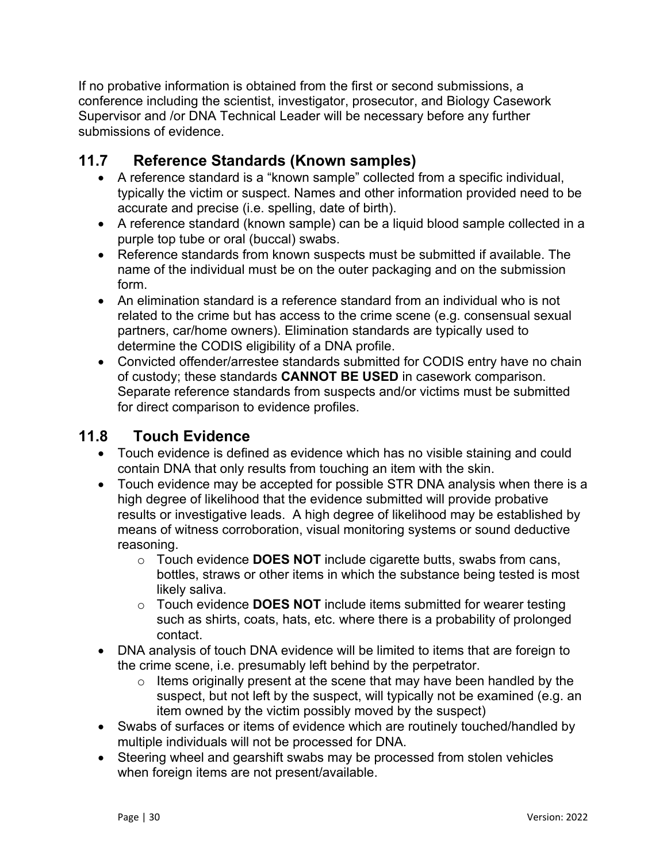If no probative information is obtained from the first or second submissions, a conference including the scientist, investigator, prosecutor, and Biology Casework Supervisor and /or DNA Technical Leader will be necessary before any further submissions of evidence.

### <span id="page-29-0"></span>**11.7 Reference Standards (Known samples)**

- A reference standard is a "known sample" collected from a specific individual, typically the victim or suspect. Names and other information provided need to be accurate and precise (i.e. spelling, date of birth).
- A reference standard (known sample) can be a liquid blood sample collected in a purple top tube or oral (buccal) swabs.
- Reference standards from known suspects must be submitted if available. The name of the individual must be on the outer packaging and on the submission form.
- An elimination standard is a reference standard from an individual who is not related to the crime but has access to the crime scene (e.g. consensual sexual partners, car/home owners). Elimination standards are typically used to determine the CODIS eligibility of a DNA profile.
- Convicted offender/arrestee standards submitted for CODIS entry have no chain of custody; these standards **CANNOT BE USED** in casework comparison. Separate reference standards from suspects and/or victims must be submitted for direct comparison to evidence profiles.

#### <span id="page-29-1"></span>**11.8 Touch Evidence**

- Touch evidence is defined as evidence which has no visible staining and could contain DNA that only results from touching an item with the skin.
- Touch evidence may be accepted for possible STR DNA analysis when there is a high degree of likelihood that the evidence submitted will provide probative results or investigative leads. A high degree of likelihood may be established by means of witness corroboration, visual monitoring systems or sound deductive reasoning.
	- o Touch evidence **DOES NOT** include cigarette butts, swabs from cans, bottles, straws or other items in which the substance being tested is most likely saliva.
	- o Touch evidence **DOES NOT** include items submitted for wearer testing such as shirts, coats, hats, etc. where there is a probability of prolonged contact.
- DNA analysis of touch DNA evidence will be limited to items that are foreign to the crime scene, i.e. presumably left behind by the perpetrator.
	- $\circ$  Items originally present at the scene that may have been handled by the suspect, but not left by the suspect, will typically not be examined (e.g. an item owned by the victim possibly moved by the suspect)
- Swabs of surfaces or items of evidence which are routinely touched/handled by multiple individuals will not be processed for DNA.
- Steering wheel and gearshift swabs may be processed from stolen vehicles when foreign items are not present/available.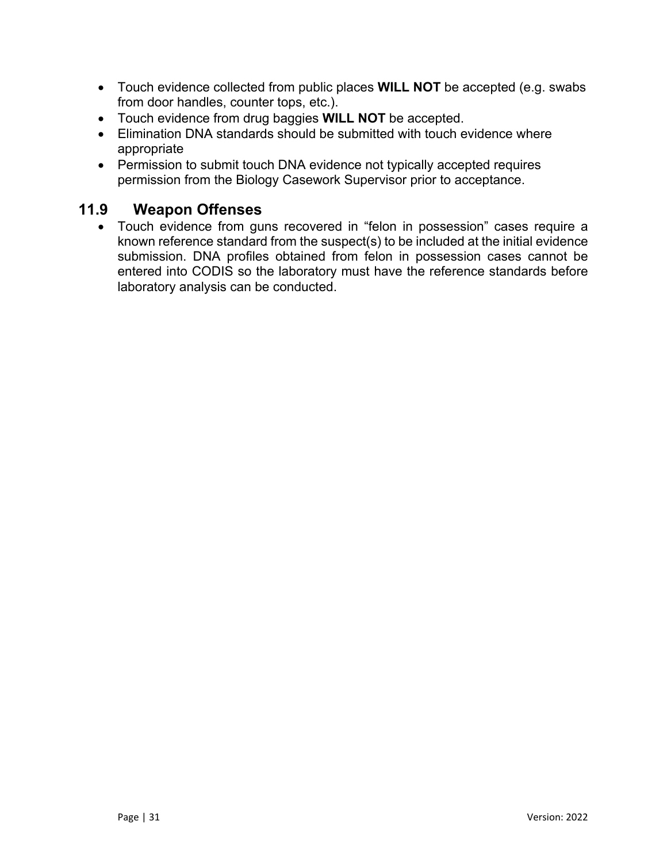- Touch evidence collected from public places **WILL NOT** be accepted (e.g. swabs from door handles, counter tops, etc.).
- Touch evidence from drug baggies **WILL NOT** be accepted.
- Elimination DNA standards should be submitted with touch evidence where appropriate
- Permission to submit touch DNA evidence not typically accepted requires permission from the Biology Casework Supervisor prior to acceptance.

### <span id="page-30-0"></span>**11.9 Weapon Offenses**

 Touch evidence from guns recovered in "felon in possession" cases require a known reference standard from the suspect(s) to be included at the initial evidence submission. DNA profiles obtained from felon in possession cases cannot be entered into CODIS so the laboratory must have the reference standards before laboratory analysis can be conducted.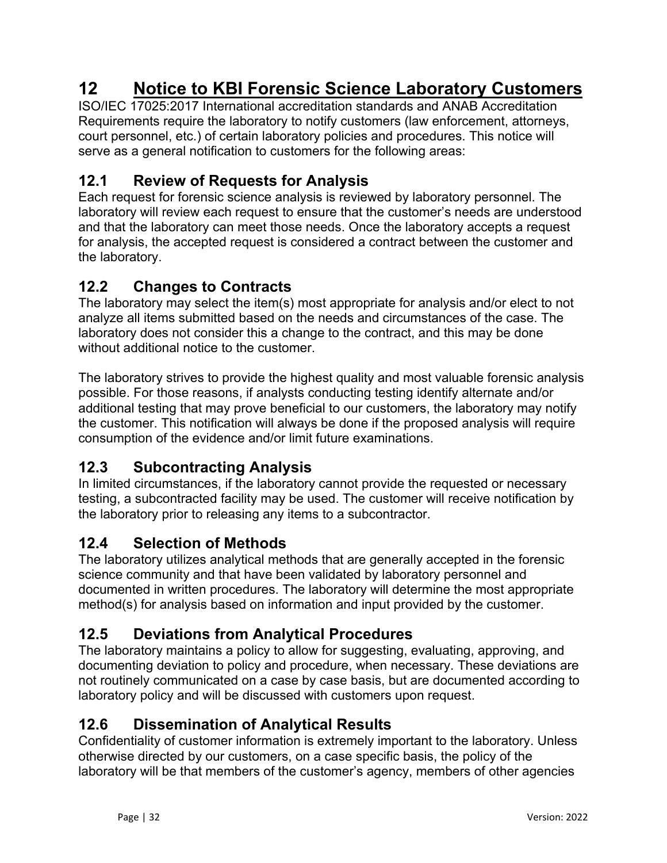## <span id="page-31-0"></span>**12 Notice to KBI Forensic Science Laboratory Customers**

ISO/IEC 17025:2017 International accreditation standards and ANAB Accreditation Requirements require the laboratory to notify customers (law enforcement, attorneys, court personnel, etc.) of certain laboratory policies and procedures. This notice will serve as a general notification to customers for the following areas:

### <span id="page-31-1"></span>**12.1 Review of Requests for Analysis**

Each request for forensic science analysis is reviewed by laboratory personnel. The laboratory will review each request to ensure that the customer's needs are understood and that the laboratory can meet those needs. Once the laboratory accepts a request for analysis, the accepted request is considered a contract between the customer and the laboratory.

### <span id="page-31-2"></span>**12.2 Changes to Contracts**

The laboratory may select the item(s) most appropriate for analysis and/or elect to not analyze all items submitted based on the needs and circumstances of the case. The laboratory does not consider this a change to the contract, and this may be done without additional notice to the customer.

The laboratory strives to provide the highest quality and most valuable forensic analysis possible. For those reasons, if analysts conducting testing identify alternate and/or additional testing that may prove beneficial to our customers, the laboratory may notify the customer. This notification will always be done if the proposed analysis will require consumption of the evidence and/or limit future examinations.

#### <span id="page-31-3"></span>**12.3 Subcontracting Analysis**

In limited circumstances, if the laboratory cannot provide the requested or necessary testing, a subcontracted facility may be used. The customer will receive notification by the laboratory prior to releasing any items to a subcontractor.

#### <span id="page-31-4"></span>**12.4 Selection of Methods**

The laboratory utilizes analytical methods that are generally accepted in the forensic science community and that have been validated by laboratory personnel and documented in written procedures. The laboratory will determine the most appropriate method(s) for analysis based on information and input provided by the customer.

## <span id="page-31-5"></span>**12.5 Deviations from Analytical Procedures**

The laboratory maintains a policy to allow for suggesting, evaluating, approving, and documenting deviation to policy and procedure, when necessary. These deviations are not routinely communicated on a case by case basis, but are documented according to laboratory policy and will be discussed with customers upon request.

#### <span id="page-31-6"></span>**12.6 Dissemination of Analytical Results**

Confidentiality of customer information is extremely important to the laboratory. Unless otherwise directed by our customers, on a case specific basis, the policy of the laboratory will be that members of the customer's agency, members of other agencies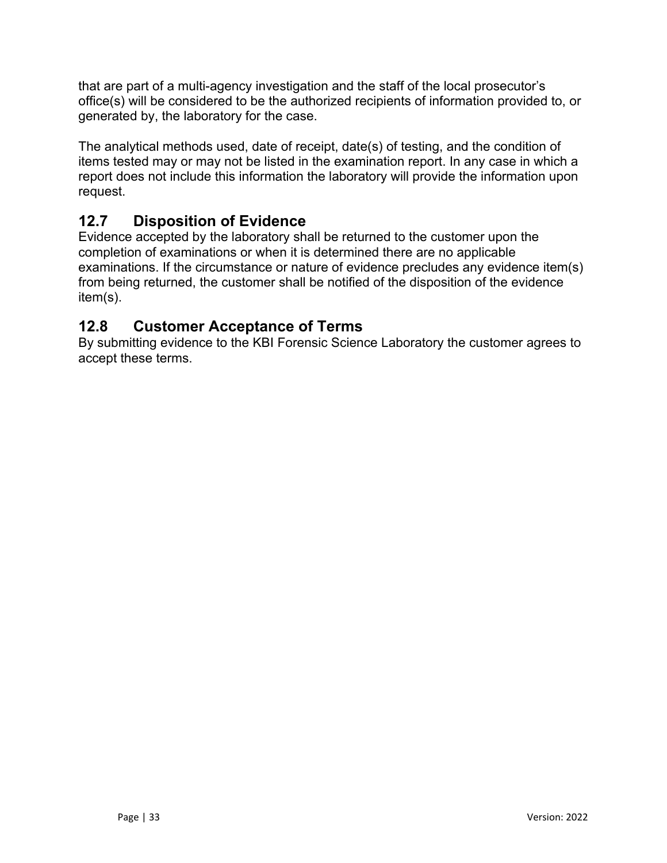that are part of a multi-agency investigation and the staff of the local prosecutor's office(s) will be considered to be the authorized recipients of information provided to, or generated by, the laboratory for the case.

The analytical methods used, date of receipt, date(s) of testing, and the condition of items tested may or may not be listed in the examination report. In any case in which a report does not include this information the laboratory will provide the information upon request.

## <span id="page-32-0"></span>**12.7 Disposition of Evidence**

Evidence accepted by the laboratory shall be returned to the customer upon the completion of examinations or when it is determined there are no applicable examinations. If the circumstance or nature of evidence precludes any evidence item(s) from being returned, the customer shall be notified of the disposition of the evidence item(s).

#### <span id="page-32-1"></span>**12.8 Customer Acceptance of Terms**

By submitting evidence to the KBI Forensic Science Laboratory the customer agrees to accept these terms.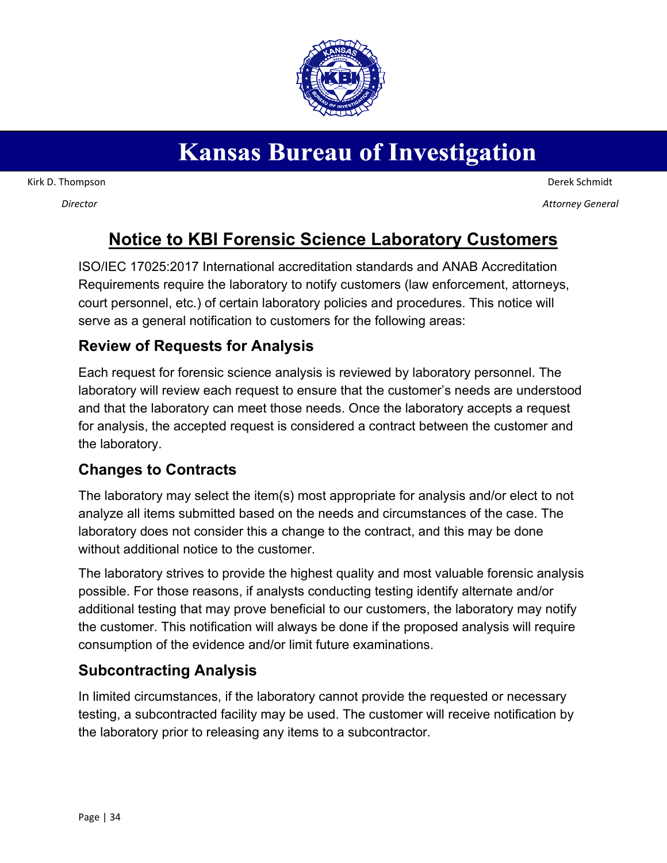# **Kansas Bureau of Investigation**

Kirk D. Thompson

*Director*

 Derek Schmidt *Attorney General*

## **Notice to KBI Forensic Science Laboratory Customers**

ISO/IEC 17025:2017 International accreditation standards and ANAB Accreditation Requirements require the laboratory to notify customers (law enforcement, attorneys, court personnel, etc.) of certain laboratory policies and procedures. This notice will serve as a general notification to customers for the following areas:

### **Review of Requests for Analysis**

Each request for forensic science analysis is reviewed by laboratory personnel. The laboratory will review each request to ensure that the customer's needs are understood and that the laboratory can meet those needs. Once the laboratory accepts a request for analysis, the accepted request is considered a contract between the customer and the laboratory.

#### **Changes to Contracts**

The laboratory may select the item(s) most appropriate for analysis and/or elect to not analyze all items submitted based on the needs and circumstances of the case. The laboratory does not consider this a change to the contract, and this may be done without additional notice to the customer.

The laboratory strives to provide the highest quality and most valuable forensic analysis possible. For those reasons, if analysts conducting testing identify alternate and/or additional testing that may prove beneficial to our customers, the laboratory may notify the customer. This notification will always be done if the proposed analysis will require consumption of the evidence and/or limit future examinations.

## **Subcontracting Analysis**

In limited circumstances, if the laboratory cannot provide the requested or necessary testing, a subcontracted facility may be used. The customer will receive notification by the laboratory prior to releasing any items to a subcontractor.